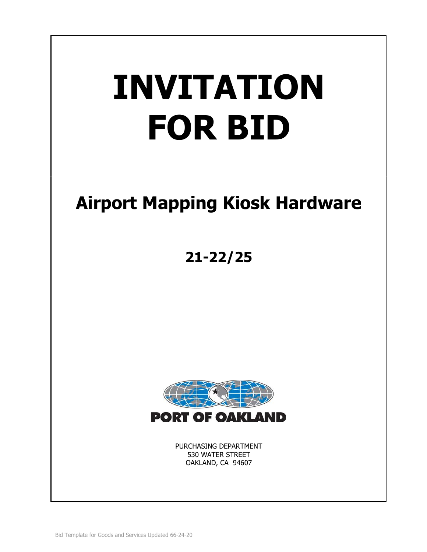# **INVITATION FOR BID**

# **Airport Mapping Kiosk Hardware**

# **21-22/25**



PURCHASING DEPARTMENT 530 WATER STREET OAKLAND, CA 94607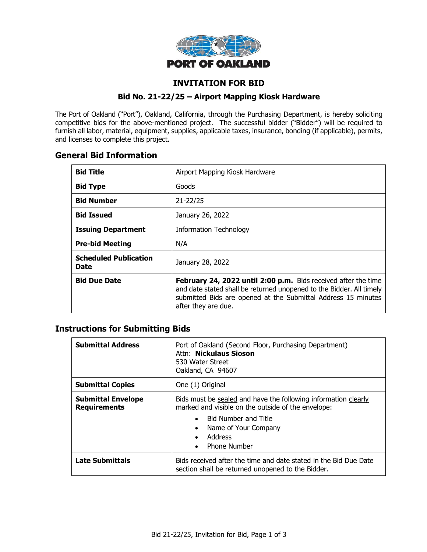

# **INVITATION FOR BID**

#### **Bid No. 21-22/25 – Airport Mapping Kiosk Hardware**

The Port of Oakland ("Port"), Oakland, California, through the Purchasing Department, is hereby soliciting competitive bids for the above-mentioned project. The successful bidder ("Bidder") will be required to furnish all labor, material, equipment, supplies, applicable taxes, insurance, bonding (if applicable), permits, and licenses to complete this project.

# **General Bid Information**

| <b>Bid Title</b>                     | Airport Mapping Kiosk Hardware                                                                                                                                                                                                 |  |
|--------------------------------------|--------------------------------------------------------------------------------------------------------------------------------------------------------------------------------------------------------------------------------|--|
| <b>Bid Type</b>                      | Goods                                                                                                                                                                                                                          |  |
| <b>Bid Number</b>                    | $21 - 22/25$                                                                                                                                                                                                                   |  |
| <b>Bid Issued</b>                    | January 26, 2022                                                                                                                                                                                                               |  |
| <b>Issuing Department</b>            | <b>Information Technology</b>                                                                                                                                                                                                  |  |
| <b>Pre-bid Meeting</b>               | N/A                                                                                                                                                                                                                            |  |
| <b>Scheduled Publication</b><br>Date | January 28, 2022                                                                                                                                                                                                               |  |
| <b>Bid Due Date</b>                  | February 24, 2022 until 2:00 p.m. Bids received after the time<br>and date stated shall be returned unopened to the Bidder. All timely<br>submitted Bids are opened at the Submittal Address 15 minutes<br>after they are due. |  |

# **Instructions for Submitting Bids**

| <b>Submittal Address</b>                         | Port of Oakland (Second Floor, Purchasing Department)<br>Attn: Nickulaus Sioson<br>530 Water Street<br>Oakland, CA 94607                                                                                                                                          |  |
|--------------------------------------------------|-------------------------------------------------------------------------------------------------------------------------------------------------------------------------------------------------------------------------------------------------------------------|--|
| <b>Submittal Copies</b>                          | One (1) Original                                                                                                                                                                                                                                                  |  |
| <b>Submittal Envelope</b><br><b>Requirements</b> | Bids must be sealed and have the following information clearly<br>marked and visible on the outside of the envelope:<br><b>Bid Number and Title</b><br>$\bullet$<br>Name of Your Company<br>$\bullet$<br>Address<br>$\bullet$<br><b>Phone Number</b><br>$\bullet$ |  |
| <b>Late Submittals</b>                           | Bids received after the time and date stated in the Bid Due Date<br>section shall be returned unopened to the Bidder.                                                                                                                                             |  |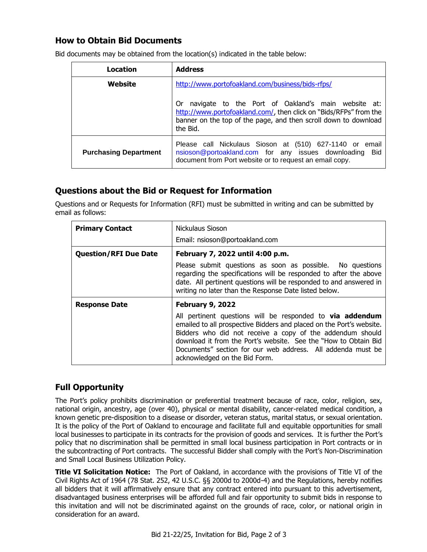# **How to Obtain Bid Documents**

| Location                     | <b>Address</b>                                                                                                                                                                                               |  |
|------------------------------|--------------------------------------------------------------------------------------------------------------------------------------------------------------------------------------------------------------|--|
| Website                      | http://www.portofoakland.com/business/bids-rfps/                                                                                                                                                             |  |
|                              | navigate to the Port of Oakland's main website at:<br>0r<br>http://www.portofoakland.com/, then click on "Bids/RFPs" from the<br>banner on the top of the page, and then scroll down to download<br>the Bid. |  |
| <b>Purchasing Department</b> | Please call Nickulaus Sioson at (510) 627-1140 or email<br>nsioson@portoakland.com for any issues downloading<br>Bid<br>document from Port website or to request an email copy.                              |  |

Bid documents may be obtained from the location(s) indicated in the table below:

# **Questions about the Bid or Request for Information**

Questions and or Requests for Information (RFI) must be submitted in writing and can be submitted by email as follows:

| <b>Primary Contact</b>       | Nickulaus Sioson                                                                                                                                                                                                                                                                                                                                                         |  |  |
|------------------------------|--------------------------------------------------------------------------------------------------------------------------------------------------------------------------------------------------------------------------------------------------------------------------------------------------------------------------------------------------------------------------|--|--|
|                              | Email: nsioson@portoakland.com                                                                                                                                                                                                                                                                                                                                           |  |  |
| <b>Question/RFI Due Date</b> | February 7, 2022 until 4:00 p.m.                                                                                                                                                                                                                                                                                                                                         |  |  |
|                              | Please submit questions as soon as possible. No questions<br>regarding the specifications will be responded to after the above<br>date. All pertinent questions will be responded to and answered in<br>writing no later than the Response Date listed below.                                                                                                            |  |  |
| <b>Response Date</b>         | <b>February 9, 2022</b>                                                                                                                                                                                                                                                                                                                                                  |  |  |
|                              | All pertinent questions will be responded to <b>via addendum</b><br>emailed to all prospective Bidders and placed on the Port's website.<br>Bidders who did not receive a copy of the addendum should<br>download it from the Port's website. See the "How to Obtain Bid<br>Documents" section for our web address. All addenda must be<br>acknowledged on the Bid Form. |  |  |

# **Full Opportunity**

The Port's policy prohibits discrimination or preferential treatment because of race, color, religion, sex, national origin, ancestry, age (over 40), physical or mental disability, cancer-related medical condition, a known genetic pre-disposition to a disease or disorder, veteran status, marital status, or sexual orientation. It is the policy of the Port of Oakland to encourage and facilitate full and equitable opportunities for small local businesses to participate in its contracts for the provision of goods and services. It is further the Port's policy that no discrimination shall be permitted in small local business participation in Port contracts or in the subcontracting of Port contracts. The successful Bidder shall comply with the Port's Non-Discrimination and Small Local Business Utilization Policy.

**Title VI Solicitation Notice:** The Port of Oakland, in accordance with the provisions of Title VI of the Civil Rights Act of 1964 (78 Stat. 252, 42 U.S.C. §§ 2000d to 2000d-4) and the Regulations, hereby notifies all bidders that it will affirmatively ensure that any contract entered into pursuant to this advertisement, disadvantaged business enterprises will be afforded full and fair opportunity to submit bids in response to this invitation and will not be discriminated against on the grounds of race, color, or national origin in consideration for an award.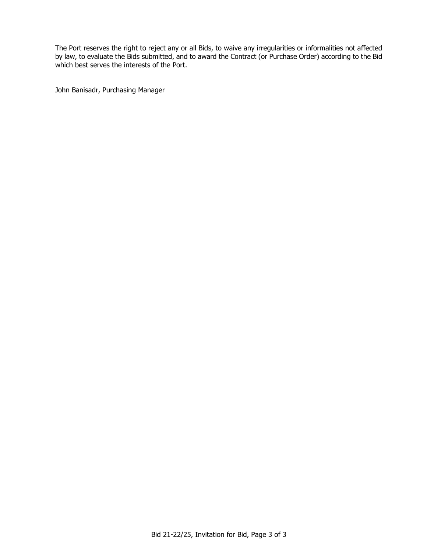The Port reserves the right to reject any or all Bids, to waive any irregularities or informalities not affected by law, to evaluate the Bids submitted, and to award the Contract (or Purchase Order) according to the Bid which best serves the interests of the Port.

John Banisadr, Purchasing Manager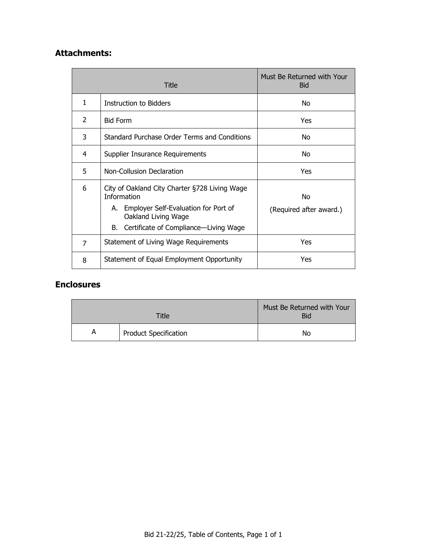# **Attachments:**

|                | Title                                                                                                          | Must Be Returned with Your<br><b>Bid</b> |
|----------------|----------------------------------------------------------------------------------------------------------------|------------------------------------------|
| 1              | Instruction to Bidders                                                                                         | No.                                      |
| 2              | <b>Bid Form</b>                                                                                                | Yes                                      |
| 3              | Standard Purchase Order Terms and Conditions                                                                   | No                                       |
| 4              | Supplier Insurance Requirements                                                                                | No                                       |
| 5              | Non-Collusion Declaration                                                                                      | Yes                                      |
| 6              | City of Oakland City Charter §728 Living Wage<br><b>Information</b><br>A. Employer Self-Evaluation for Port of | No                                       |
|                | Oakland Living Wage                                                                                            | (Required after award.)                  |
|                | B. Certificate of Compliance—Living Wage                                                                       |                                          |
| $\overline{7}$ | Statement of Living Wage Requirements                                                                          | Yes                                      |
| 8              | Statement of Equal Employment Opportunity                                                                      | Yes                                      |

# **Enclosures**

| Title |                              | Must Be Returned with Your<br><b>Bid</b> |
|-------|------------------------------|------------------------------------------|
| A     | <b>Product Specification</b> | No                                       |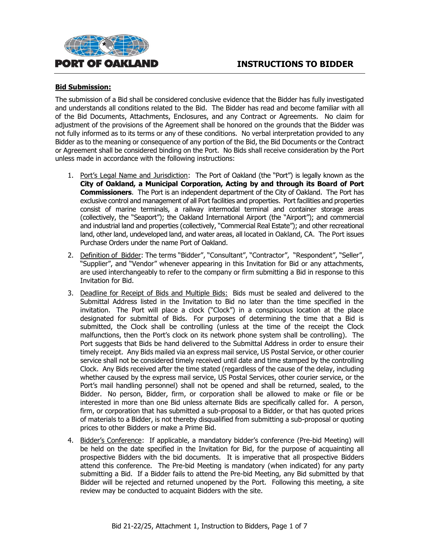



#### **Bid Submission:**

The submission of a Bid shall be considered conclusive evidence that the Bidder has fully investigated and understands all conditions related to the Bid. The Bidder has read and become familiar with all of the Bid Documents, Attachments, Enclosures, and any Contract or Agreements. No claim for adjustment of the provisions of the Agreement shall be honored on the grounds that the Bidder was not fully informed as to its terms or any of these conditions. No verbal interpretation provided to any Bidder as to the meaning or consequence of any portion of the Bid, the Bid Documents or the Contract or Agreement shall be considered binding on the Port. No Bids shall receive consideration by the Port unless made in accordance with the following instructions:

- 1. Port's Legal Name and Jurisdiction: The Port of Oakland (the "Port") is legally known as the **City of Oakland, a Municipal Corporation, Acting by and through its Board of Port Commissioners**. The Port is an independent department of the City of Oakland. The Port has exclusive control and management of all Port facilities and properties. Port facilities and properties consist of marine terminals, a railway intermodal terminal and container storage areas (collectively, the "Seaport"); the Oakland International Airport (the "Airport"); and commercial and industrial land and properties (collectively, "Commercial Real Estate"); and other recreational land, other land, undeveloped land, and water areas, all located in Oakland, CA. The Port issues Purchase Orders under the name Port of Oakland.
- 2. Definition of Bidder: The terms "Bidder", "Consultant", "Contractor", "Respondent", "Seller", "Supplier", and "Vendor" whenever appearing in this Invitation for Bid or any attachments, are used interchangeably to refer to the company or firm submitting a Bid in response to this Invitation for Bid.
- 3. Deadline for Receipt of Bids and Multiple Bids: Bids must be sealed and delivered to the Submittal Address listed in the Invitation to Bid no later than the time specified in the invitation. The Port will place a clock ("Clock") in a conspicuous location at the place designated for submittal of Bids. For purposes of determining the time that a Bid is submitted, the Clock shall be controlling (unless at the time of the receipt the Clock malfunctions, then the Port's clock on its network phone system shall be controlling). The Port suggests that Bids be hand delivered to the Submittal Address in order to ensure their timely receipt. Any Bids mailed via an express mail service, US Postal Service, or other courier service shall not be considered timely received until date and time stamped by the controlling Clock. Any Bids received after the time stated (regardless of the cause of the delay, including whether caused by the express mail service, US Postal Services, other courier service, or the Port's mail handling personnel) shall not be opened and shall be returned, sealed, to the Bidder. No person, Bidder, firm, or corporation shall be allowed to make or file or be interested in more than one Bid unless alternate Bids are specifically called for. A person, firm, or corporation that has submitted a sub-proposal to a Bidder, or that has quoted prices of materials to a Bidder, is not thereby disqualified from submitting a sub-proposal or quoting prices to other Bidders or make a Prime Bid.
- 4. Bidder's Conference: If applicable, a mandatory bidder's conference (Pre-bid Meeting) will be held on the date specified in the Invitation for Bid, for the purpose of acquainting all prospective Bidders with the bid documents. It is imperative that all prospective Bidders attend this conference. The Pre-bid Meeting is mandatory (when indicated) for any party submitting a Bid. If a Bidder fails to attend the Pre-bid Meeting, any Bid submitted by that Bidder will be rejected and returned unopened by the Port. Following this meeting, a site review may be conducted to acquaint Bidders with the site.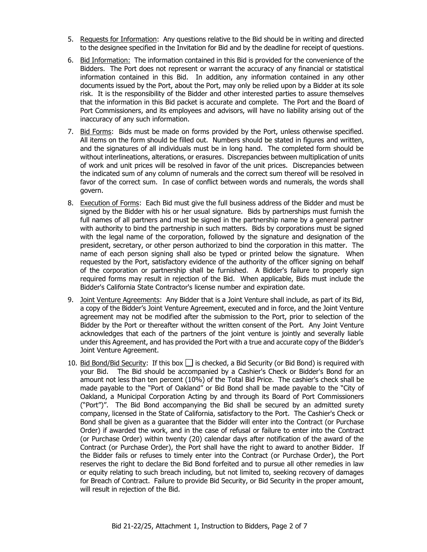- 5. Requests for Information: Any questions relative to the Bid should be in writing and directed to the designee specified in the Invitation for Bid and by the deadline for receipt of questions.
- 6. Bid Information: The information contained in this Bid is provided for the convenience of the Bidders. The Port does not represent or warrant the accuracy of any financial or statistical information contained in this Bid. In addition, any information contained in any other documents issued by the Port, about the Port, may only be relied upon by a Bidder at its sole risk. It is the responsibility of the Bidder and other interested parties to assure themselves that the information in this Bid packet is accurate and complete. The Port and the Board of Port Commissioners, and its employees and advisors, will have no liability arising out of the inaccuracy of any such information.
- 7. Bid Forms: Bids must be made on forms provided by the Port, unless otherwise specified. All items on the form should be filled out. Numbers should be stated in figures and written, and the signatures of all individuals must be in long hand. The completed form should be without interlineations, alterations, or erasures. Discrepancies between multiplication of units of work and unit prices will be resolved in favor of the unit prices. Discrepancies between the indicated sum of any column of numerals and the correct sum thereof will be resolved in favor of the correct sum. In case of conflict between words and numerals, the words shall govern.
- 8. Execution of Forms: Each Bid must give the full business address of the Bidder and must be signed by the Bidder with his or her usual signature. Bids by partnerships must furnish the full names of all partners and must be signed in the partnership name by a general partner with authority to bind the partnership in such matters. Bids by corporations must be signed with the legal name of the corporation, followed by the signature and designation of the president, secretary, or other person authorized to bind the corporation in this matter. The name of each person signing shall also be typed or printed below the signature. When requested by the Port, satisfactory evidence of the authority of the officer signing on behalf of the corporation or partnership shall be furnished. A Bidder's failure to properly sign required forms may result in rejection of the Bid. When applicable, Bids must include the Bidder's California State Contractor's license number and expiration date.
- 9. Joint Venture Agreements: Any Bidder that is a Joint Venture shall include, as part of its Bid, a copy of the Bidder's Joint Venture Agreement, executed and in force, and the Joint Venture agreement may not be modified after the submission to the Port, prior to selection of the Bidder by the Port or thereafter without the written consent of the Port. Any Joint Venture acknowledges that each of the partners of the joint venture is jointly and severally liable under this Agreement, and has provided the Port with a true and accurate copy of the Bidder's Joint Venture Agreement.
- 10. Bid Bond/Bid Security: If this box  $\Box$  is checked, a Bid Security (or Bid Bond) is required with your Bid. The Bid should be accompanied by a Cashier's Check or Bidder's Bond for an amount not less than ten percent (10%) of the Total Bid Price. The cashier's check shall be made payable to the "Port of Oakland" or Bid Bond shall be made payable to the "City of Oakland, a Municipal Corporation Acting by and through its Board of Port Commissioners ("Port")". The Bid Bond accompanying the Bid shall be secured by an admitted surety company, licensed in the State of California, satisfactory to the Port. The Cashier's Check or Bond shall be given as a guarantee that the Bidder will enter into the Contract (or Purchase Order) if awarded the work, and in the case of refusal or failure to enter into the Contract (or Purchase Order) within twenty (20) calendar days after notification of the award of the Contract (or Purchase Order), the Port shall have the right to award to another Bidder. If the Bidder fails or refuses to timely enter into the Contract (or Purchase Order), the Port reserves the right to declare the Bid Bond forfeited and to pursue all other remedies in law or equity relating to such breach including, but not limited to, seeking recovery of damages for Breach of Contract. Failure to provide Bid Security, or Bid Security in the proper amount, will result in rejection of the Bid.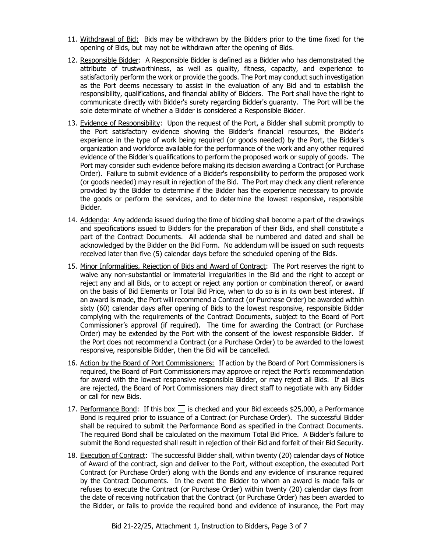- 11. Withdrawal of Bid: Bids may be withdrawn by the Bidders prior to the time fixed for the opening of Bids, but may not be withdrawn after the opening of Bids.
- 12. Responsible Bidder: A Responsible Bidder is defined as a Bidder who has demonstrated the attribute of trustworthiness, as well as quality, fitness, capacity, and experience to satisfactorily perform the work or provide the goods. The Port may conduct such investigation as the Port deems necessary to assist in the evaluation of any Bid and to establish the responsibility, qualifications, and financial ability of Bidders. The Port shall have the right to communicate directly with Bidder's surety regarding Bidder's guaranty. The Port will be the sole determinate of whether a Bidder is considered a Responsible Bidder.
- 13. Evidence of Responsibility: Upon the request of the Port, a Bidder shall submit promptly to the Port satisfactory evidence showing the Bidder's financial resources, the Bidder's experience in the type of work being required (or goods needed) by the Port, the Bidder's organization and workforce available for the performance of the work and any other required evidence of the Bidder's qualifications to perform the proposed work or supply of goods. The Port may consider such evidence before making its decision awarding a Contract (or Purchase Order). Failure to submit evidence of a Bidder's responsibility to perform the proposed work (or goods needed) may result in rejection of the Bid. The Port may check any client reference provided by the Bidder to determine if the Bidder has the experience necessary to provide the goods or perform the services, and to determine the lowest responsive, responsible Bidder.
- 14. Addenda: Any addenda issued during the time of bidding shall become a part of the drawings and specifications issued to Bidders for the preparation of their Bids, and shall constitute a part of the Contract Documents. All addenda shall be numbered and dated and shall be acknowledged by the Bidder on the Bid Form. No addendum will be issued on such requests received later than five (5) calendar days before the scheduled opening of the Bids.
- 15. Minor Informalities, Rejection of Bids and Award of Contract: The Port reserves the right to waive any non-substantial or immaterial irregularities in the Bid and the right to accept or reject any and all Bids, or to accept or reject any portion or combination thereof, or award on the basis of Bid Elements or Total Bid Price, when to do so is in its own best interest. If an award is made, the Port will recommend a Contract (or Purchase Order) be awarded within sixty (60) calendar days after opening of Bids to the lowest responsive, responsible Bidder complying with the requirements of the Contract Documents, subject to the Board of Port Commissioner's approval (if required). The time for awarding the Contract (or Purchase Order) may be extended by the Port with the consent of the lowest responsible Bidder. If the Port does not recommend a Contract (or a Purchase Order) to be awarded to the lowest responsive, responsible Bidder, then the Bid will be cancelled.
- 16. Action by the Board of Port Commissioners: If action by the Board of Port Commissioners is required, the Board of Port Commissioners may approve or reject the Port's recommendation for award with the lowest responsive responsible Bidder, or may reject all Bids. If all Bids are rejected, the Board of Port Commissioners may direct staff to negotiate with any Bidder or call for new Bids.
- 17. Performance Bond: If this box  $\Box$  is checked and your Bid exceeds \$25,000, a Performance Bond is required prior to issuance of a Contract (or Purchase Order). The successful Bidder shall be required to submit the Performance Bond as specified in the Contract Documents. The required Bond shall be calculated on the maximum Total Bid Price. A Bidder's failure to submit the Bond requested shall result in rejection of their Bid and forfeit of their Bid Security.
- 18. Execution of Contract: The successful Bidder shall, within twenty (20) calendar days of Notice of Award of the contract, sign and deliver to the Port, without exception, the executed Port Contract (or Purchase Order) along with the Bonds and any evidence of insurance required by the Contract Documents. In the event the Bidder to whom an award is made fails or refuses to execute the Contract (or Purchase Order) within twenty (20) calendar days from the date of receiving notification that the Contract (or Purchase Order) has been awarded to the Bidder, or fails to provide the required bond and evidence of insurance, the Port may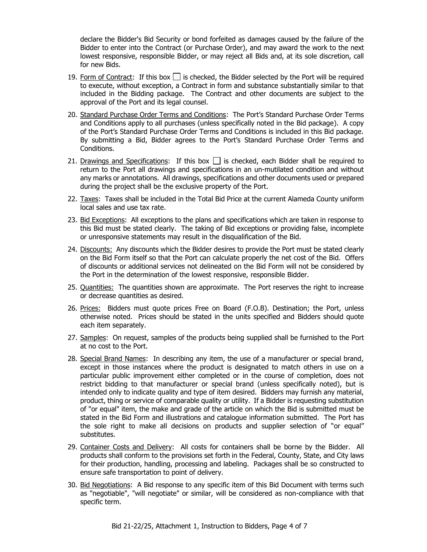declare the Bidder's Bid Security or bond forfeited as damages caused by the failure of the Bidder to enter into the Contract (or Purchase Order), and may award the work to the next lowest responsive, responsible Bidder, or may reject all Bids and, at its sole discretion, call for new Bids.

- 19. Form of Contract: If this box  $\Box$  is checked, the Bidder selected by the Port will be required to execute, without exception, a Contract in form and substance substantially similar to that included in the Bidding package. The Contract and other documents are subject to the approval of the Port and its legal counsel.
- 20. Standard Purchase Order Terms and Conditions: The Port's Standard Purchase Order Terms and Conditions apply to all purchases (unless specifically noted in the Bid package). A copy of the Port's Standard Purchase Order Terms and Conditions is included in this Bid package. By submitting a Bid, Bidder agrees to the Port's Standard Purchase Order Terms and Conditions.
- 21. Drawings and Specifications: If this box  $\Box$  is checked, each Bidder shall be required to return to the Port all drawings and specifications in an un-mutilated condition and without any marks or annotations. All drawings, specifications and other documents used or prepared during the project shall be the exclusive property of the Port.
- 22. Taxes: Taxes shall be included in the Total Bid Price at the current Alameda County uniform local sales and use tax rate.
- 23. Bid Exceptions: All exceptions to the plans and specifications which are taken in response to this Bid must be stated clearly. The taking of Bid exceptions or providing false, incomplete or unresponsive statements may result in the disqualification of the Bid.
- 24. Discounts: Any discounts which the Bidder desires to provide the Port must be stated clearly on the Bid Form itself so that the Port can calculate properly the net cost of the Bid. Offers of discounts or additional services not delineated on the Bid Form will not be considered by the Port in the determination of the lowest responsive, responsible Bidder.
- 25. Quantities: The quantities shown are approximate. The Port reserves the right to increase or decrease quantities as desired.
- 26. Prices: Bidders must quote prices Free on Board (F.O.B). Destination; the Port, unless otherwise noted. Prices should be stated in the units specified and Bidders should quote each item separately.
- 27. Samples: On request, samples of the products being supplied shall be furnished to the Port at no cost to the Port.
- 28. Special Brand Names: In describing any item, the use of a manufacturer or special brand, except in those instances where the product is designated to match others in use on a particular public improvement either completed or in the course of completion, does not restrict bidding to that manufacturer or special brand (unless specifically noted), but is intended only to indicate quality and type of item desired. Bidders may furnish any material, product, thing or service of comparable quality or utility. If a Bidder is requesting substitution of "or equal" item, the make and grade of the article on which the Bid is submitted must be stated in the Bid Form and illustrations and catalogue information submitted. The Port has the sole right to make all decisions on products and supplier selection of "or equal" substitutes.
- 29. Container Costs and Delivery: All costs for containers shall be borne by the Bidder. All products shall conform to the provisions set forth in the Federal, County, State, and City laws for their production, handling, processing and labeling. Packages shall be so constructed to ensure safe transportation to point of delivery.
- 30. Bid Negotiations: A Bid response to any specific item of this Bid Document with terms such as "negotiable", "will negotiate" or similar, will be considered as non-compliance with that specific term.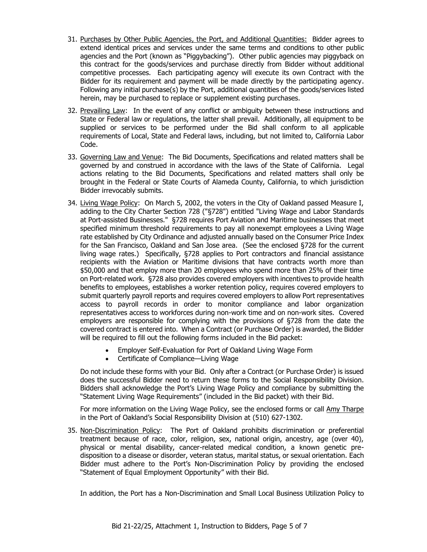- 31. Purchases by Other Public Agencies, the Port, and Additional Quantities: Bidder agrees to extend identical prices and services under the same terms and conditions to other public agencies and the Port (known as "Piggybacking"). Other public agencies may piggyback on this contract for the goods/services and purchase directly from Bidder without additional competitive processes. Each participating agency will execute its own Contract with the Bidder for its requirement and payment will be made directly by the participating agency. Following any initial purchase(s) by the Port, additional quantities of the goods/services listed herein, may be purchased to replace or supplement existing purchases.
- 32. Prevailing Law: In the event of any conflict or ambiguity between these instructions and State or Federal law or regulations, the latter shall prevail. Additionally, all equipment to be supplied or services to be performed under the Bid shall conform to all applicable requirements of Local, State and Federal laws, including, but not limited to, California Labor Code.
- 33. Governing Law and Venue: The Bid Documents, Specifications and related matters shall be governed by and construed in accordance with the laws of the State of California. Legal actions relating to the Bid Documents, Specifications and related matters shall only be brought in the Federal or State Courts of Alameda County, California, to which jurisdiction Bidder irrevocably submits.
- 34. Living Wage Policy: On March 5, 2002, the voters in the City of Oakland passed Measure I, adding to the City Charter Section 728 ("§728") entitled "Living Wage and Labor Standards at Port-assisted Businesses." §728 requires Port Aviation and Maritime businesses that meet specified minimum threshold requirements to pay all nonexempt employees a Living Wage rate established by City Ordinance and adjusted annually based on the Consumer Price Index for the San Francisco, Oakland and San Jose area. (See the enclosed §728 for the current living wage rates.) Specifically, §728 applies to Port contractors and financial assistance recipients with the Aviation or Maritime divisions that have contracts worth more than \$50,000 and that employ more than 20 employees who spend more than 25% of their time on Port-related work. §728 also provides covered employers with incentives to provide health benefits to employees, establishes a worker retention policy, requires covered employers to submit quarterly payroll reports and requires covered employers to allow Port representatives access to payroll records in order to monitor compliance and labor organization representatives access to workforces during non-work time and on non-work sites. Covered employers are responsible for complying with the provisions of §728 from the date the covered contract is entered into. When a Contract (or Purchase Order) is awarded, the Bidder will be required to fill out the following forms included in the Bid packet:
	- Employer Self-Evaluation for Port of Oakland Living Wage Form
	- Certificate of Compliance—Living Wage

Do not include these forms with your Bid. Only after a Contract (or Purchase Order) is issued does the successful Bidder need to return these forms to the Social Responsibility Division. Bidders shall acknowledge the Port's Living Wage Policy and compliance by submitting the "Statement Living Wage Requirements" (included in the Bid packet) with their Bid.

For more information on the Living Wage Policy, see the enclosed forms or call Amy Tharpe in the Port of Oakland's Social Responsibility Division at (510) 627-1302.

35. Non-Discrimination Policy: The Port of Oakland prohibits discrimination or preferential treatment because of race, color, religion, sex, national origin, ancestry, age (over 40), physical or mental disability, cancer-related medical condition, a known genetic predisposition to a disease or disorder, veteran status, marital status, or sexual orientation. Each Bidder must adhere to the Port's Non-Discrimination Policy by providing the enclosed "Statement of Equal Employment Opportunity" with their Bid.

In addition, the Port has a Non-Discrimination and Small Local Business Utilization Policy to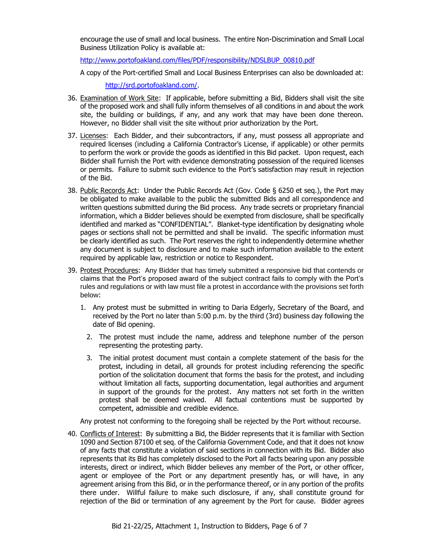encourage the use of small and local business. The entire Non-Discrimination and Small Local Business Utilization Policy is available at:

[http://www.portofoakland.com/files/PDF/responsibility/NDSLBUP\\_00810.pdf](http://www.portofoakland.com/files/PDF/responsibility/NDSLBUP_00810.pdf)

A copy of the Port-certified Small and Local Business Enterprises can also be downloaded at:

[http://srd.portofoakland.com/.](http://srd.portofoakland.com/)

- 36. Examination of Work Site: If applicable, before submitting a Bid, Bidders shall visit the site of the proposed work and shall fully inform themselves of all conditions in and about the work site, the building or buildings, if any, and any work that may have been done thereon. However, no Bidder shall visit the site without prior authorization by the Port.
- 37. Licenses: Each Bidder, and their subcontractors, if any, must possess all appropriate and required licenses (including a California Contractor's License, if applicable) or other permits to perform the work or provide the goods as identified in this Bid packet. Upon request, each Bidder shall furnish the Port with evidence demonstrating possession of the required licenses or permits. Failure to submit such evidence to the Port's satisfaction may result in rejection of the Bid.
- 38. Public Records Act: Under the Public Records Act (Gov. Code § 6250 et seq.), the Port may be obligated to make available to the public the submitted Bids and all correspondence and written questions submitted during the Bid process. Any trade secrets or proprietary financial information, which a Bidder believes should be exempted from disclosure, shall be specifically identified and marked as "CONFIDENTIAL". Blanket-type identification by designating whole pages or sections shall not be permitted and shall be invalid. The specific information must be clearly identified as such. The Port reserves the right to independently determine whether any document is subject to disclosure and to make such information available to the extent required by applicable law, restriction or notice to Respondent.
- 39. Protest Procedures:Any Bidder that has timely submitted a responsive bid that contends or claims that the Port's proposed award of the subject contract fails to comply with the Port's rules and regulations or with law must file a protest in accordance with the provisions set forth below:
	- 1. Any protest must be submitted in writing to Daria Edgerly, Secretary of the Board, and received by the Port no later than 5:00 p.m. by the third (3rd) business day following the date of Bid opening.
		- 2. The protest must include the name, address and telephone number of the person representing the protesting party.
		- 3. The initial protest document must contain a complete statement of the basis for the protest, including in detail, all grounds for protest including referencing the specific portion of the solicitation document that forms the basis for the protest, and including without limitation all facts, supporting documentation, legal authorities and argument in support of the grounds for the protest. Any matters not set forth in the written protest shall be deemed waived. All factual contentions must be supported by competent, admissible and credible evidence.

Any protest not conforming to the foregoing shall be rejected by the Port without recourse.

40. Conflicts of Interest: By submitting a Bid, the Bidder represents that it is familiar with Section 1090 and Section 87100 et seq. of the California Government Code, and that it does not know of any facts that constitute a violation of said sections in connection with its Bid. Bidder also represents that its Bid has completely disclosed to the Port all facts bearing upon any possible interests, direct or indirect, which Bidder believes any member of the Port, or other officer, agent or employee of the Port or any department presently has, or will have, in any agreement arising from this Bid, or in the performance thereof, or in any portion of the profits there under. Willful failure to make such disclosure, if any, shall constitute ground for rejection of the Bid or termination of any agreement by the Port for cause. Bidder agrees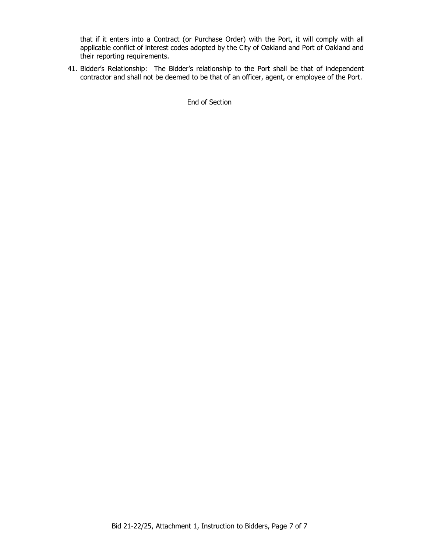that if it enters into a Contract (or Purchase Order) with the Port, it will comply with all applicable conflict of interest codes adopted by the City of Oakland and Port of Oakland and their reporting requirements.

41. Bidder's Relationship: The Bidder's relationship to the Port shall be that of independent contractor and shall not be deemed to be that of an officer, agent, or employee of the Port.

End of Section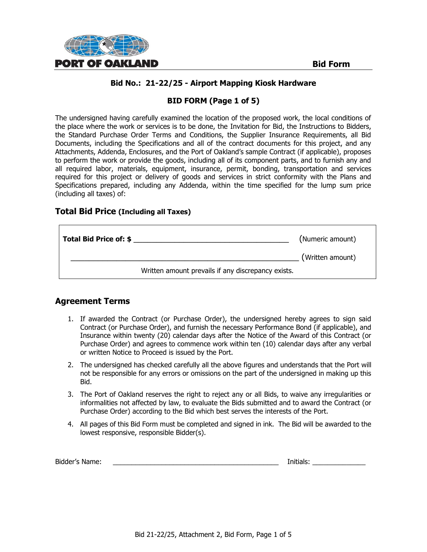

# **BID FORM (Page 1 of 5)**

The undersigned having carefully examined the location of the proposed work, the local conditions of the place where the work or services is to be done, the Invitation for Bid, the Instructions to Bidders, the Standard Purchase Order Terms and Conditions, the Supplier Insurance Requirements, all Bid Documents, including the Specifications and all of the contract documents for this project, and any Attachments, Addenda, Enclosures, and the Port of Oakland's sample Contract (if applicable), proposes to perform the work or provide the goods, including all of its component parts, and to furnish any and all required labor, materials, equipment, insurance, permit, bonding, transportation and services required for this project or delivery of goods and services in strict conformity with the Plans and Specifications prepared, including any Addenda, within the time specified for the lump sum price (including all taxes) of:

#### **Total Bid Price (Including all Taxes)**

| <b>Total Bid Price of: \$</b> |                                                    | (Numeric amount) |
|-------------------------------|----------------------------------------------------|------------------|
|                               |                                                    | (Written amount) |
|                               | Written amount prevails if any discrepancy exists. |                  |

# **Agreement Terms**

- 1. If awarded the Contract (or Purchase Order), the undersigned hereby agrees to sign said Contract (or Purchase Order), and furnish the necessary Performance Bond (if applicable), and Insurance within twenty (20) calendar days after the Notice of the Award of this Contract (or Purchase Order) and agrees to commence work within ten (10) calendar days after any verbal or written Notice to Proceed is issued by the Port.
- 2. The undersigned has checked carefully all the above figures and understands that the Port will not be responsible for any errors or omissions on the part of the undersigned in making up this Bid.
- 3. The Port of Oakland reserves the right to reject any or all Bids, to waive any irregularities or informalities not affected by law, to evaluate the Bids submitted and to award the Contract (or Purchase Order) according to the Bid which best serves the interests of the Port.
- 4. All pages of this Bid Form must be completed and signed in ink. The Bid will be awarded to the lowest responsive, responsible Bidder(s).

| Bidder's Name: |  | .<br>Initials: |  |
|----------------|--|----------------|--|
|----------------|--|----------------|--|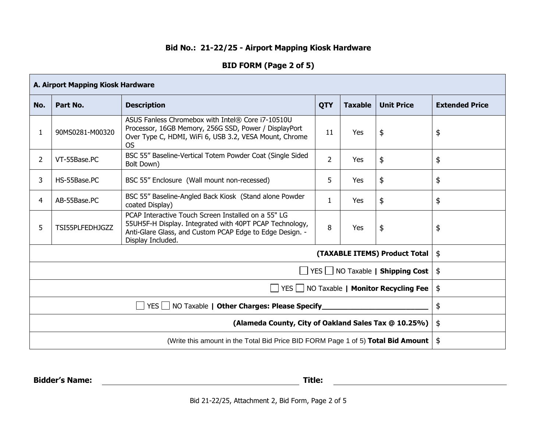# **BID FORM (Page 2 of 5)**

| A. Airport Mapping Kiosk Hardware                                                |                                                                                                                                                                                                                                      |                                                                           |                |     |                               |    |
|----------------------------------------------------------------------------------|--------------------------------------------------------------------------------------------------------------------------------------------------------------------------------------------------------------------------------------|---------------------------------------------------------------------------|----------------|-----|-------------------------------|----|
| No.                                                                              | Part No.<br><b>Description</b><br><b>QTY</b><br><b>Taxable</b><br><b>Unit Price</b>                                                                                                                                                  |                                                                           |                |     |                               |    |
| 1                                                                                | ASUS Fanless Chromebox with Intel® Core i7-10510U<br>Processor, 16GB Memory, 256G SSD, Power / DisplayPort<br>\$<br>90MS0281-M00320<br>Yes<br>11<br>Over Type C, HDMI, WiFi 6, USB 3.2, VESA Mount, Chrome<br>OS                     |                                                                           |                | \$  |                               |    |
| $\overline{2}$                                                                   | VT-55Base.PC                                                                                                                                                                                                                         | BSC 55" Baseline-Vertical Totem Powder Coat (Single Sided<br>Bolt Down)   | $\overline{2}$ | Yes | \$                            | \$ |
| 3                                                                                | \$<br>5<br>HS-55Base.PC<br>BSC 55" Enclosure (Wall mount non-recessed)<br>Yes                                                                                                                                                        |                                                                           | \$             |     |                               |    |
| 4                                                                                | AB-55Base.PC                                                                                                                                                                                                                         | BSC 55" Baseline-Angled Back Kiosk (Stand alone Powder<br>coated Display) | $\mathbf{1}$   | Yes | \$                            | \$ |
| 5                                                                                | PCAP Interactive Touch Screen Installed on a 55" LG<br>55UH5F-H Display. Integrated with 40PT PCAP Technology,<br>\$<br>TSI55PLFEDHJGZZ<br>8<br>Yes<br>Anti-Glare Glass, and Custom PCAP Edge to Edge Design. -<br>Display Included. |                                                                           | \$             |     |                               |    |
|                                                                                  |                                                                                                                                                                                                                                      |                                                                           |                |     | (TAXABLE ITEMS) Product Total | \$ |
| YES NO Taxable   Shipping Cost                                                   |                                                                                                                                                                                                                                      |                                                                           |                | \$  |                               |    |
| $\Box$ YES $\Box$ NO Taxable   <b>Monitor Recycling Fee</b>                      |                                                                                                                                                                                                                                      |                                                                           |                | \$  |                               |    |
| YES   NO Taxable   Other Charges: Please Specify                                 |                                                                                                                                                                                                                                      |                                                                           |                | \$  |                               |    |
| (Alameda County, City of Oakland Sales Tax @ 10.25%)                             |                                                                                                                                                                                                                                      |                                                                           |                | \$  |                               |    |
| (Write this amount in the Total Bid Price BID FORM Page 1 of 5) Total Bid Amount |                                                                                                                                                                                                                                      |                                                                           |                | \$  |                               |    |

**Bidder's Name: Title:**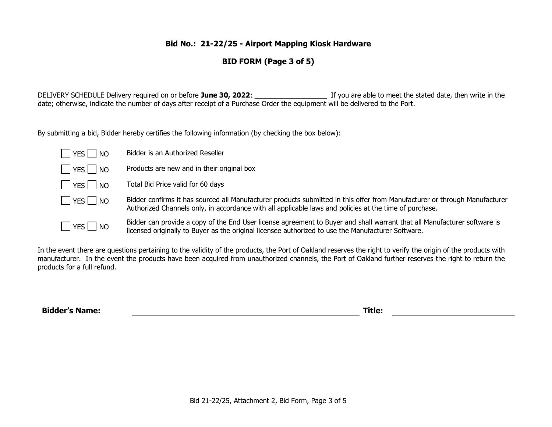# **BID FORM (Page 3 of 5)**

DELIVERY SCHEDULE Delivery required on or before **June 30, 2022**: \_\_\_\_\_\_\_\_\_\_\_\_\_\_\_\_\_\_\_ If you are able to meet the stated date, then write in the date; otherwise, indicate the number of days after receipt of a Purchase Order the equipment will be delivered to the Port.

By submitting a bid, Bidder hereby certifies the following information (by checking the box below):

| YES  <br><b>NO</b>   | Bidder is an Authorized Reseller                                                                                                                                                                                                     |
|----------------------|--------------------------------------------------------------------------------------------------------------------------------------------------------------------------------------------------------------------------------------|
| YES    <br><b>NO</b> | Products are new and in their original box                                                                                                                                                                                           |
| <b>NO</b>            | Total Bid Price valid for 60 days                                                                                                                                                                                                    |
| YES    <br><b>NO</b> | Bidder confirms it has sourced all Manufacturer products submitted in this offer from Manufacturer or through Manufacturer<br>Authorized Channels only, in accordance with all applicable laws and policies at the time of purchase. |
| YES <br><b>NO</b>    | Bidder can provide a copy of the End User license agreement to Buyer and shall warrant that all Manufacturer software is<br>licensed originally to Buyer as the original licensee authorized to use the Manufacturer Software.       |

In the event there are questions pertaining to the validity of the products, the Port of Oakland reserves the right to verify the origin of the products with manufacturer. In the event the products have been acquired from unauthorized channels, the Port of Oakland further reserves the right to return the products for a full refund.

**Bidder's Name: Title:**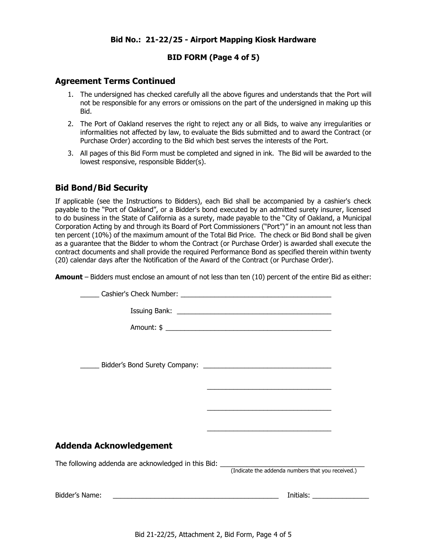#### **BID FORM (Page 4 of 5)**

#### **Agreement Terms Continued**

- 1. The undersigned has checked carefully all the above figures and understands that the Port will not be responsible for any errors or omissions on the part of the undersigned in making up this Bid.
- 2. The Port of Oakland reserves the right to reject any or all Bids, to waive any irregularities or informalities not affected by law, to evaluate the Bids submitted and to award the Contract (or Purchase Order) according to the Bid which best serves the interests of the Port.
- 3. All pages of this Bid Form must be completed and signed in ink. The Bid will be awarded to the lowest responsive, responsible Bidder(s).

# **Bid Bond/Bid Security**

If applicable (see the Instructions to Bidders), each Bid shall be accompanied by a cashier's check payable to the "Port of Oakland", or a Bidder's bond executed by an admitted surety insurer, licensed to do business in the State of California as a surety, made payable to the "City of Oakland, a Municipal Corporation Acting by and through its Board of Port Commissioners ("Port")" in an amount not less than ten percent (10%) of the maximum amount of the Total Bid Price. The check or Bid Bond shall be given as a guarantee that the Bidder to whom the Contract (or Purchase Order) is awarded shall execute the contract documents and shall provide the required Performance Bond as specified therein within twenty (20) calendar days after the Notification of the Award of the Contract (or Purchase Order).

**Amount** – Bidders must enclose an amount of not less than ten (10) percent of the entire Bid as either:

|                                                                                                               | <u> 1989 - Johann Stoff, amerikansk politiker (d. 1989)</u>                                                          |
|---------------------------------------------------------------------------------------------------------------|----------------------------------------------------------------------------------------------------------------------|
|                                                                                                               |                                                                                                                      |
|                                                                                                               | <u> 2000 - Jan James James James James James James James James James James James James James James James James J</u> |
| Addenda Acknowledgement                                                                                       |                                                                                                                      |
|                                                                                                               |                                                                                                                      |
| Bidder's Name: 2008. 2008. 2010. 2010. 2010. 2010. 2011. 2012. 2013. 2014. 2016. 2016. 2017. 2018. 2019. 2019 |                                                                                                                      |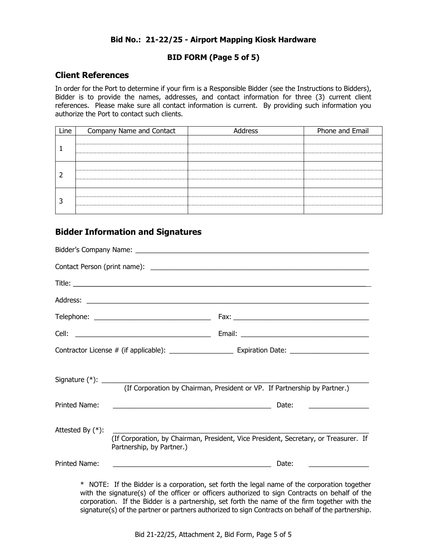#### **BID FORM (Page 5 of 5)**

#### **Client References**

In order for the Port to determine if your firm is a Responsible Bidder (see the Instructions to Bidders), Bidder is to provide the names, addresses, and contact information for three (3) current client references. Please make sure all contact information is current. By providing such information you authorize the Port to contact such clients.

| Line | Company Name and Contact | Address | Phone and Email |
|------|--------------------------|---------|-----------------|
|      |                          |         |                 |
|      |                          |         |                 |
|      |                          |         |                 |
|      |                          |         |                 |
|      |                          |         |                 |
|      |                          |         |                 |
|      |                          |         |                 |
|      |                          |         |                 |

# **Bidder Information and Signatures**

|                                      |                                                                                                                       | (If Corporation by Chairman, President or VP. If Partnership by Partner.)            |
|--------------------------------------|-----------------------------------------------------------------------------------------------------------------------|--------------------------------------------------------------------------------------|
|                                      |                                                                                                                       |                                                                                      |
|                                      | <u> 1989 - Johann Barn, mars and de Branch Barn, mars and de Branch Barn, mars and de Branch Barn, mars and de Br</u> | Date:<br><u> 1989 - John Stein, Amerikaansk politiker (</u>                          |
| Printed Name:<br>Attested By $(*)$ : | Partnership, by Partner.)                                                                                             | (If Corporation, by Chairman, President, Vice President, Secretary, or Treasurer. If |

with the signature(s) of the officer or officers authorized to sign Contracts on behalf of the corporation. If the Bidder is a partnership, set forth the name of the firm together with the signature(s) of the partner or partners authorized to sign Contracts on behalf of the partnership.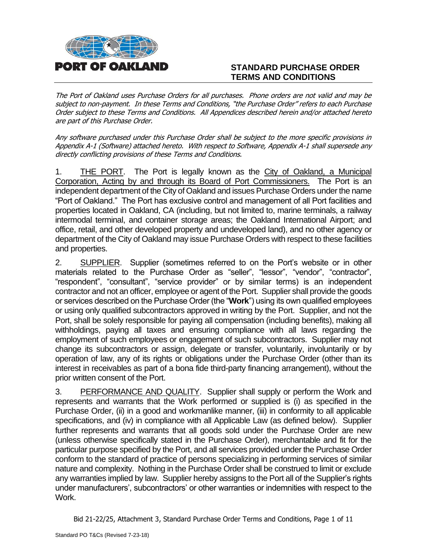

# **STANDARD PURCHASE ORDER TERMS AND CONDITIONS**

The Port of Oakland uses Purchase Orders for all purchases. Phone orders are not valid and may be subject to non-payment. In these Terms and Conditions, "the Purchase Order" refers to each Purchase Order subject to these Terms and Conditions. All Appendices described herein and/or attached hereto are part of this Purchase Order.

Any software purchased under this Purchase Order shall be subject to the more specific provisions in Appendix A-1 (Software) attached hereto. With respect to Software, Appendix A-1 shall supersede any directly conflicting provisions of these Terms and Conditions.

1. THE PORT. The Port is legally known as the City of Oakland, a Municipal Corporation, Acting by and through its Board of Port Commissioners. The Port is an independent department of the City of Oakland and issues Purchase Orders under the name "Port of Oakland." The Port has exclusive control and management of all Port facilities and properties located in Oakland, CA (including, but not limited to, marine terminals, a railway intermodal terminal, and container storage areas; the Oakland International Airport; and office, retail, and other developed property and undeveloped land), and no other agency or department of the City of Oakland may issue Purchase Orders with respect to these facilities and properties.

2. SUPPLIER. Supplier (sometimes referred to on the Port's website or in other materials related to the Purchase Order as "seller", "lessor", "vendor", "contractor", "respondent", "consultant", "service provider" or by similar terms) is an independent contractor and not an officer, employee or agent of the Port. Supplier shall provide the goods or services described on the Purchase Order (the "**Work**") using its own qualified employees or using only qualified subcontractors approved in writing by the Port. Supplier, and not the Port, shall be solely responsible for paying all compensation (including benefits), making all withholdings, paying all taxes and ensuring compliance with all laws regarding the employment of such employees or engagement of such subcontractors. Supplier may not change its subcontractors or assign, delegate or transfer, voluntarily, involuntarily or by operation of law, any of its rights or obligations under the Purchase Order (other than its interest in receivables as part of a bona fide third-party financing arrangement), without the prior written consent of the Port.

3. PERFORMANCE AND QUALITY. Supplier shall supply or perform the Work and represents and warrants that the Work performed or supplied is (i) as specified in the Purchase Order, (ii) in a good and workmanlike manner, (iii) in conformity to all applicable specifications, and (iv) in compliance with all Applicable Law (as defined below). Supplier further represents and warrants that all goods sold under the Purchase Order are new (unless otherwise specifically stated in the Purchase Order), merchantable and fit for the particular purpose specified by the Port, and all services provided under the Purchase Order conform to the standard of practice of persons specializing in performing services of similar nature and complexity. Nothing in the Purchase Order shall be construed to limit or exclude any warranties implied by law. Supplier hereby assigns to the Port all of the Supplier's rights under manufacturers', subcontractors' or other warranties or indemnities with respect to the Work.

Bid 21-22/25, Attachment 3, Standard Purchase Order Terms and Conditions, Page 1 of 11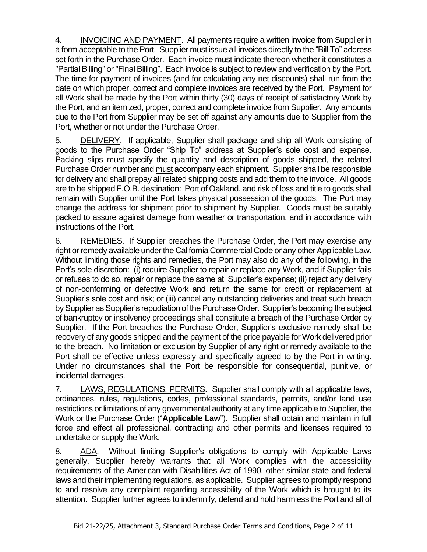4. INVOICING AND PAYMENT. All payments require a written invoice from Supplier in a form acceptable to the Port. Supplier must issue all invoices directly to the "Bill To" address set forth in the Purchase Order. Each invoice must indicate thereon whether it constitutes a "Partial Billing" or "Final Billing". Each invoice is subject to review and verification by the Port. The time for payment of invoices (and for calculating any net discounts) shall run from the date on which proper, correct and complete invoices are received by the Port. Payment for all Work shall be made by the Port within thirty (30) days of receipt of satisfactory Work by the Port, and an itemized, proper, correct and complete invoice from Supplier. Any amounts due to the Port from Supplier may be set off against any amounts due to Supplier from the Port, whether or not under the Purchase Order.

5. DELIVERY. If applicable, Supplier shall package and ship all Work consisting of goods to the Purchase Order "Ship To" address at Supplier's sole cost and expense. Packing slips must specify the quantity and description of goods shipped, the related Purchase Order number and must accompany each shipment. Supplier shall be responsible for delivery and shall prepay all related shipping costs and add them to the invoice. All goods are to be shipped F.O.B. destination: Port of Oakland, and risk of loss and title to goods shall remain with Supplier until the Port takes physical possession of the goods. The Port may change the address for shipment prior to shipment by Supplier. Goods must be suitably packed to assure against damage from weather or transportation, and in accordance with instructions of the Port.

6. REMEDIES. If Supplier breaches the Purchase Order, the Port may exercise any right or remedy available under the California Commercial Code or any other Applicable Law. Without limiting those rights and remedies, the Port may also do any of the following, in the Port's sole discretion: (i) require Supplier to repair or replace any Work, and if Supplier fails or refuses to do so, repair or replace the same at Supplier's expense; (ii) reject any delivery of non-conforming or defective Work and return the same for credit or replacement at Supplier's sole cost and risk; or (iii) cancel any outstanding deliveries and treat such breach by Supplier as Supplier's repudiation of the Purchase Order. Supplier's becoming the subject of bankruptcy or insolvency proceedings shall constitute a breach of the Purchase Order by Supplier. If the Port breaches the Purchase Order, Supplier's exclusive remedy shall be recovery of any goods shipped and the payment of the price payable for Work delivered prior to the breach. No limitation or exclusion by Supplier of any right or remedy available to the Port shall be effective unless expressly and specifically agreed to by the Port in writing. Under no circumstances shall the Port be responsible for consequential, punitive, or incidental damages.

7. LAWS, REGULATIONS, PERMITS. Supplier shall comply with all applicable laws, ordinances, rules, regulations, codes, professional standards, permits, and/or land use restrictions or limitations of any governmental authority at any time applicable to Supplier, the Work or the Purchase Order ("**Applicable Law**"). Supplier shall obtain and maintain in full force and effect all professional, contracting and other permits and licenses required to undertake or supply the Work.

8. ADA. Without limiting Supplier's obligations to comply with Applicable Laws generally, Supplier hereby warrants that all Work complies with the accessibility requirements of the American with Disabilities Act of 1990, other similar state and federal laws and their implementing regulations, as applicable. Supplier agrees to promptly respond to and resolve any complaint regarding accessibility of the Work which is brought to its attention. Supplier further agrees to indemnify, defend and hold harmless the Port and all of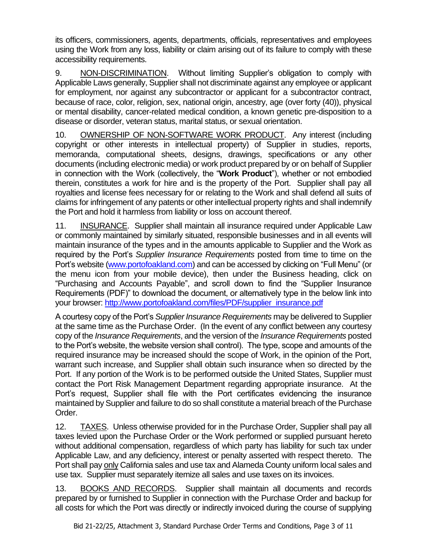its officers, commissioners, agents, departments, officials, representatives and employees using the Work from any loss, liability or claim arising out of its failure to comply with these accessibility requirements.

9. NON-DISCRIMINATION. Without limiting Supplier's obligation to comply with Applicable Laws generally, Supplier shall not discriminate against any employee or applicant for employment, nor against any subcontractor or applicant for a subcontractor contract, because of race, color, religion, sex, national origin, ancestry, age (over forty (40)), physical or mental disability, cancer-related medical condition, a known genetic pre-disposition to a disease or disorder, veteran status, marital status, or sexual orientation.

10. OWNERSHIP OF NON-SOFTWARE WORK PRODUCT. Any interest (including copyright or other interests in intellectual property) of Supplier in studies, reports, memoranda, computational sheets, designs, drawings, specifications or any other documents (including electronic media) or work product prepared by or on behalf of Supplier in connection with the Work (collectively, the "**Work Product**"), whether or not embodied therein, constitutes a work for hire and is the property of the Port. Supplier shall pay all royalties and license fees necessary for or relating to the Work and shall defend all suits of claims for infringement of any patents or other intellectual property rights and shall indemnify the Port and hold it harmless from liability or loss on account thereof.

11. INSURANCE. Supplier shall maintain all insurance required under Applicable Law or commonly maintained by similarly situated, responsible businesses and in all events will maintain insurance of the types and in the amounts applicable to Supplier and the Work as required by the Port's *Supplier Insurance Requirements* posted from time to time on the Port's website [\(www.portofoakland.com\)](http://www.portofoakland.com/) and can be accessed by clicking on "Full Menu" (or the menu icon from your mobile device), then under the Business heading, click on "Purchasing and Accounts Payable", and scroll down to find the "Supplier Insurance Requirements (PDF)" to download the document, or alternatively type in the below link into your browser: [http://www.portofoakland.com/files/PDF/supplier\\_insurance.pdf](http://www.portofoakland.com/files/PDF/supplier_insurance.pdf)

A courtesy copy of the Port's *Supplier Insurance Requirements* may be delivered to Supplier at the same time as the Purchase Order. (In the event of any conflict between any courtesy copy of the *Insurance Requirements*, and the version of the *Insurance Requirements* posted to the Port's website, the website version shall control). The type, scope and amounts of the required insurance may be increased should the scope of Work, in the opinion of the Port, warrant such increase, and Supplier shall obtain such insurance when so directed by the Port. If any portion of the Work is to be performed outside the United States, Supplier must contact the Port Risk Management Department regarding appropriate insurance. At the Port's request, Supplier shall file with the Port certificates evidencing the insurance maintained by Supplier and failure to do so shall constitute a material breach of the Purchase Order.

12. TAXES. Unless otherwise provided for in the Purchase Order, Supplier shall pay all taxes levied upon the Purchase Order or the Work performed or supplied pursuant hereto without additional compensation, regardless of which party has liability for such tax under Applicable Law, and any deficiency, interest or penalty asserted with respect thereto. The Port shall pay only California sales and use tax and Alameda County uniform local sales and use tax. Supplier must separately itemize all sales and use taxes on its invoices.

13. BOOKS AND RECORDS. Supplier shall maintain all documents and records prepared by or furnished to Supplier in connection with the Purchase Order and backup for all costs for which the Port was directly or indirectly invoiced during the course of supplying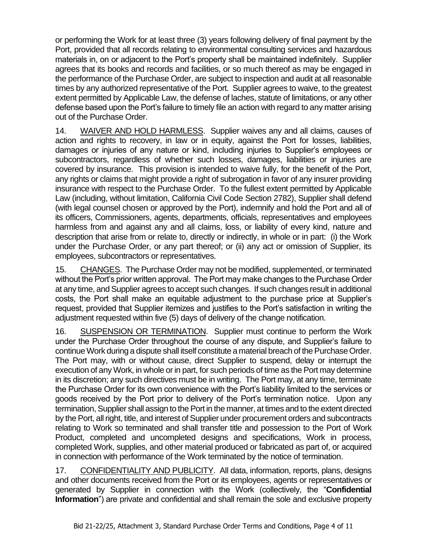or performing the Work for at least three (3) years following delivery of final payment by the Port, provided that all records relating to environmental consulting services and hazardous materials in, on or adjacent to the Port's property shall be maintained indefinitely. Supplier agrees that its books and records and facilities, or so much thereof as may be engaged in the performance of the Purchase Order, are subject to inspection and audit at all reasonable times by any authorized representative of the Port. Supplier agrees to waive, to the greatest extent permitted by Applicable Law, the defense of laches, statute of limitations, or any other defense based upon the Port's failure to timely file an action with regard to any matter arising out of the Purchase Order.

14. WAIVER AND HOLD HARMLESS. Supplier waives any and all claims, causes of action and rights to recovery, in law or in equity, against the Port for losses, liabilities, damages or injuries of any nature or kind, including injuries to Supplier's employees or subcontractors, regardless of whether such losses, damages, liabilities or injuries are covered by insurance. This provision is intended to waive fully, for the benefit of the Port, any rights or claims that might provide a right of subrogation in favor of any insurer providing insurance with respect to the Purchase Order. To the fullest extent permitted by Applicable Law (including, without limitation, California Civil Code Section 2782), Supplier shall defend (with legal counsel chosen or approved by the Port), indemnify and hold the Port and all of its officers, Commissioners, agents, departments, officials, representatives and employees harmless from and against any and all claims, loss, or liability of every kind, nature and description that arise from or relate to, directly or indirectly, in whole or in part: (i) the Work under the Purchase Order, or any part thereof; or (ii) any act or omission of Supplier, its employees, subcontractors or representatives.

15. CHANGES. The Purchase Order may not be modified, supplemented, or terminated without the Port's prior written approval. The Port may make changes to the Purchase Order at any time, and Supplier agrees to accept such changes. If such changes result in additional costs, the Port shall make an equitable adjustment to the purchase price at Supplier's request, provided that Supplier itemizes and justifies to the Port's satisfaction in writing the adjustment requested within five (5) days of delivery of the change notification.

16. SUSPENSION OR TERMINATION. Supplier must continue to perform the Work under the Purchase Order throughout the course of any dispute, and Supplier's failure to continue Work during a dispute shall itself constitute a material breach of the Purchase Order. The Port may, with or without cause, direct Supplier to suspend, delay or interrupt the execution of any Work, in whole or in part, for such periods of time as the Port may determine in its discretion; any such directives must be in writing. The Port may, at any time, terminate the Purchase Order for its own convenience with the Port's liability limited to the services or goods received by the Port prior to delivery of the Port's termination notice. Upon any termination, Supplier shall assign to the Port in the manner, at times and to the extent directed by the Port, all right, title, and interest of Supplier under procurement orders and subcontracts relating to Work so terminated and shall transfer title and possession to the Port of Work Product, completed and uncompleted designs and specifications, Work in process, completed Work, supplies, and other material produced or fabricated as part of, or acquired in connection with performance of the Work terminated by the notice of termination.

17. CONFIDENTIALITY AND PUBLICITY. All data, information, reports, plans, designs and other documents received from the Port or its employees, agents or representatives or generated by Supplier in connection with the Work (collectively, the "**Confidential Information**") are private and confidential and shall remain the sole and exclusive property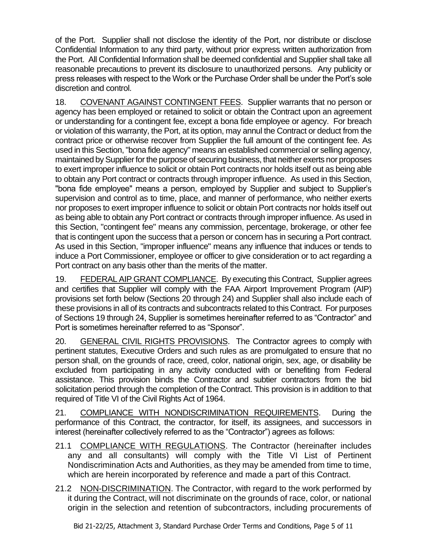of the Port. Supplier shall not disclose the identity of the Port, nor distribute or disclose Confidential Information to any third party, without prior express written authorization from the Port. All Confidential Information shall be deemed confidential and Supplier shall take all reasonable precautions to prevent its disclosure to unauthorized persons. Any publicity or press releases with respect to the Work or the Purchase Order shall be under the Port's sole discretion and control.

18. COVENANT AGAINST CONTINGENT FEES. Supplier warrants that no person or agency has been employed or retained to solicit or obtain the Contract upon an agreement or understanding for a contingent fee, except a bona fide employee or agency. For breach or violation of this warranty, the Port, at its option, may annul the Contract or deduct from the contract price or otherwise recover from Supplier the full amount of the contingent fee. As used in this Section, "bona fide agency" means an established commercial or selling agency, maintained by Supplier for the purpose of securing business, that neither exerts nor proposes to exert improper influence to solicit or obtain Port contracts nor holds itself out as being able to obtain any Port contract or contracts through improper influence. As used in this Section, "bona fide employee" means a person, employed by Supplier and subject to Supplier's supervision and control as to time, place, and manner of performance, who neither exerts nor proposes to exert improper influence to solicit or obtain Port contracts nor holds itself out as being able to obtain any Port contract or contracts through improper influence. As used in this Section, "contingent fee" means any commission, percentage, brokerage, or other fee that is contingent upon the success that a person or concern has in securing a Port contract. As used in this Section, "improper influence" means any influence that induces or tends to induce a Port Commissioner, employee or officer to give consideration or to act regarding a Port contract on any basis other than the merits of the matter.

19. FEDERAL AIP GRANT COMPLIANCE. By executing this Contract, Supplier agrees and certifies that Supplier will comply with the FAA Airport Improvement Program (AIP) provisions set forth below (Sections 20 through 24) and Supplier shall also include each of these provisions in all of its contracts and subcontracts related to this Contract. For purposes of Sections 19 through 24, Supplier is sometimes hereinafter referred to as "Contractor" and Port is sometimes hereinafter referred to as "Sponsor".

20. GENERAL CIVIL RIGHTS PROVISIONS.The Contractor agrees to comply with pertinent statutes, Executive Orders and such rules as are promulgated to ensure that no person shall, on the grounds of race, creed, color, national origin, sex, age, or disability be excluded from participating in any activity conducted with or benefiting from Federal assistance. This provision binds the Contractor and subtier contractors from the bid solicitation period through the completion of the Contract. This provision is in addition to that required of Title VI of the Civil Rights Act of 1964.

21. COMPLIANCE WITH NONDISCRIMINATION REQUIREMENTS. During the performance of this Contract, the contractor, for itself, its assignees, and successors in interest (hereinafter collectively referred to as the "Contractor") agrees as follows:

- 21.1 COMPLIANCE WITH REGULATIONS. The Contractor (hereinafter includes any and all consultants) will comply with the Title VI List of Pertinent Nondiscrimination Acts and Authorities, as they may be amended from time to time, which are herein incorporated by reference and made a part of this Contract.
- 21.2 NON-DISCRIMINATION. The Contractor, with regard to the work performed by it during the Contract, will not discriminate on the grounds of race, color, or national origin in the selection and retention of subcontractors, including procurements of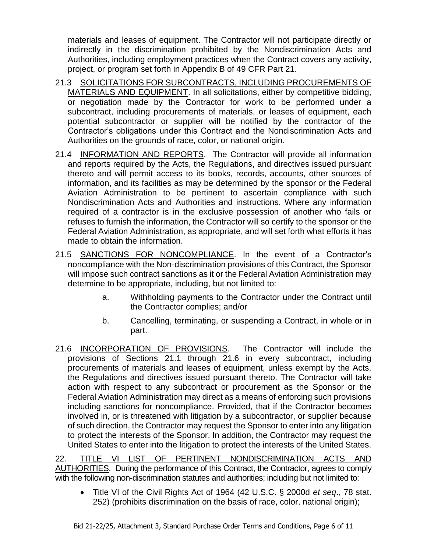materials and leases of equipment. The Contractor will not participate directly or indirectly in the discrimination prohibited by the Nondiscrimination Acts and Authorities, including employment practices when the Contract covers any activity, project, or program set forth in Appendix B of 49 CFR Part 21.

- 21.3 SOLICITATIONS FOR SUBCONTRACTS, INCLUDING PROCUREMENTS OF MATERIALS AND EQUIPMENT. In all solicitations, either by competitive bidding, or negotiation made by the Contractor for work to be performed under a subcontract, including procurements of materials, or leases of equipment, each potential subcontractor or supplier will be notified by the contractor of the Contractor's obligations under this Contract and the Nondiscrimination Acts and Authorities on the grounds of race, color, or national origin.
- 21.4 INFORMATION AND REPORTS. The Contractor will provide all information and reports required by the Acts, the Regulations, and directives issued pursuant thereto and will permit access to its books, records, accounts, other sources of information, and its facilities as may be determined by the sponsor or the Federal Aviation Administration to be pertinent to ascertain compliance with such Nondiscrimination Acts and Authorities and instructions. Where any information required of a contractor is in the exclusive possession of another who fails or refuses to furnish the information, the Contractor will so certify to the sponsor or the Federal Aviation Administration, as appropriate, and will set forth what efforts it has made to obtain the information.
- 21.5 SANCTIONS FOR NONCOMPLIANCE. In the event of a Contractor's noncompliance with the Non-discrimination provisions of this Contract, the Sponsor will impose such contract sanctions as it or the Federal Aviation Administration may determine to be appropriate, including, but not limited to:
	- a. Withholding payments to the Contractor under the Contract until the Contractor complies; and/or
	- b. Cancelling, terminating, or suspending a Contract, in whole or in part.
- 21.6 INCORPORATION OF PROVISIONS.The Contractor will include the provisions of Sections 21.1 through 21.6 in every subcontract, including procurements of materials and leases of equipment, unless exempt by the Acts, the Regulations and directives issued pursuant thereto. The Contractor will take action with respect to any subcontract or procurement as the Sponsor or the Federal Aviation Administration may direct as a means of enforcing such provisions including sanctions for noncompliance. Provided, that if the Contractor becomes involved in, or is threatened with litigation by a subcontractor, or supplier because of such direction, the Contractor may request the Sponsor to enter into any litigation to protect the interests of the Sponsor. In addition, the Contractor may request the United States to enter into the litigation to protect the interests of the United States.

22. TITLE VI LIST OF PERTINENT NONDISCRIMINATION ACTS AND AUTHORITIES. During the performance of this Contract, the Contractor, agrees to comply with the following non-discrimination statutes and authorities; including but not limited to:

• Title VI of the Civil Rights Act of 1964 (42 U.S.C. § 2000d *et seq*., 78 stat. 252) (prohibits discrimination on the basis of race, color, national origin);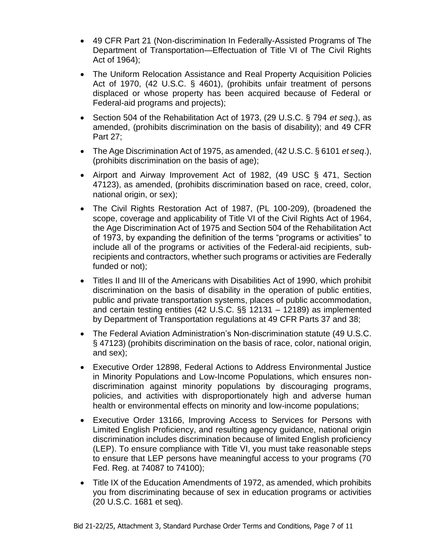- 49 CFR Part 21 (Non-discrimination In Federally-Assisted Programs of The Department of Transportation—Effectuation of Title VI of The Civil Rights Act of 1964);
- The Uniform Relocation Assistance and Real Property Acquisition Policies Act of 1970, (42 U.S.C. § 4601), (prohibits unfair treatment of persons displaced or whose property has been acquired because of Federal or Federal-aid programs and projects);
- Section 504 of the Rehabilitation Act of 1973, (29 U.S.C. § 794 *et seq*.), as amended, (prohibits discrimination on the basis of disability); and 49 CFR Part 27;
- The Age Discrimination Act of 1975, as amended, (42 U.S.C. § 6101 *et seq*.), (prohibits discrimination on the basis of age);
- Airport and Airway Improvement Act of 1982, (49 USC § 471, Section 47123), as amended, (prohibits discrimination based on race, creed, color, national origin, or sex);
- The Civil Rights Restoration Act of 1987, (PL 100-209), (broadened the scope, coverage and applicability of Title VI of the Civil Rights Act of 1964, the Age Discrimination Act of 1975 and Section 504 of the Rehabilitation Act of 1973, by expanding the definition of the terms "programs or activities" to include all of the programs or activities of the Federal-aid recipients, subrecipients and contractors, whether such programs or activities are Federally funded or not);
- Titles II and III of the Americans with Disabilities Act of 1990, which prohibit discrimination on the basis of disability in the operation of public entities, public and private transportation systems, places of public accommodation, and certain testing entities (42 U.S.C. §§ 12131 – 12189) as implemented by Department of Transportation regulations at 49 CFR Parts 37 and 38;
- The Federal Aviation Administration's Non-discrimination statute (49 U.S.C. § 47123) (prohibits discrimination on the basis of race, color, national origin, and sex);
- Executive Order 12898, Federal Actions to Address Environmental Justice in Minority Populations and Low-Income Populations, which ensures nondiscrimination against minority populations by discouraging programs, policies, and activities with disproportionately high and adverse human health or environmental effects on minority and low-income populations;
- Executive Order 13166, Improving Access to Services for Persons with Limited English Proficiency, and resulting agency guidance, national origin discrimination includes discrimination because of limited English proficiency (LEP). To ensure compliance with Title VI, you must take reasonable steps to ensure that LEP persons have meaningful access to your programs (70 Fed. Reg. at 74087 to 74100);
- Title IX of the Education Amendments of 1972, as amended, which prohibits you from discriminating because of sex in education programs or activities (20 U.S.C. 1681 et seq).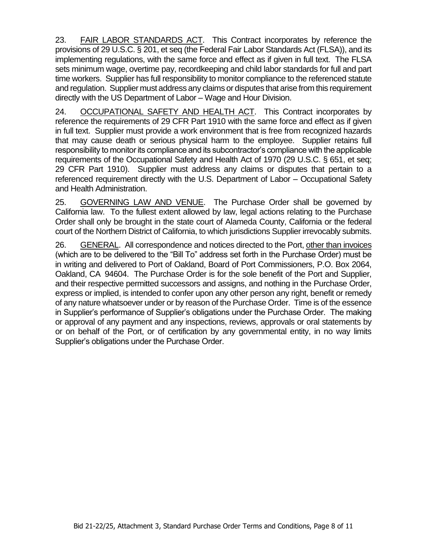23. FAIR LABOR STANDARDS ACT. This Contract incorporates by reference the provisions of 29 U.S.C. § 201, et seq (the Federal Fair Labor Standards Act (FLSA)), and its implementing regulations, with the same force and effect as if given in full text. The FLSA sets minimum wage, overtime pay, recordkeeping and child labor standards for full and part time workers. Supplier has full responsibility to monitor compliance to the referenced statute and regulation. Supplier must address any claims or disputes that arise from this requirement directly with the US Department of Labor – Wage and Hour Division.

24. OCCUPATIONAL SAFETY AND HEALTH ACT.This Contract incorporates by reference the requirements of 29 CFR Part 1910 with the same force and effect as if given in full text. Supplier must provide a work environment that is free from recognized hazards that may cause death or serious physical harm to the employee. Supplier retains full responsibility to monitor its compliance and its subcontractor's compliance with the applicable requirements of the Occupational Safety and Health Act of 1970 (29 U.S.C. § 651, et seq; 29 CFR Part 1910). Supplier must address any claims or disputes that pertain to a referenced requirement directly with the U.S. Department of Labor – Occupational Safety and Health Administration.

25. GOVERNING LAW AND VENUE. The Purchase Order shall be governed by California law. To the fullest extent allowed by law, legal actions relating to the Purchase Order shall only be brought in the state court of Alameda County, California or the federal court of the Northern District of California, to which jurisdictions Supplier irrevocably submits.

26. GENERAL. All correspondence and notices directed to the Port, other than invoices (which are to be delivered to the "Bill To" address set forth in the Purchase Order) must be in writing and delivered to Port of Oakland, Board of Port Commissioners, P.O. Box 2064, Oakland, CA 94604. The Purchase Order is for the sole benefit of the Port and Supplier, and their respective permitted successors and assigns, and nothing in the Purchase Order, express or implied, is intended to confer upon any other person any right, benefit or remedy of any nature whatsoever under or by reason of the Purchase Order. Time is of the essence in Supplier's performance of Supplier's obligations under the Purchase Order. The making or approval of any payment and any inspections, reviews, approvals or oral statements by or on behalf of the Port, or of certification by any governmental entity, in no way limits Supplier's obligations under the Purchase Order.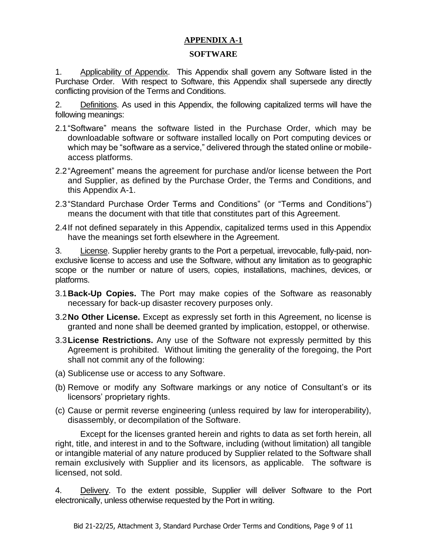# **APPENDIX A-1**

#### **SOFTWARE**

1. Applicability of Appendix. This Appendix shall govern any Software listed in the Purchase Order. With respect to Software, this Appendix shall supersede any directly conflicting provision of the Terms and Conditions.

2. Definitions. As used in this Appendix, the following capitalized terms will have the following meanings:

- 2.1"Software" means the software listed in the Purchase Order, which may be downloadable software or software installed locally on Port computing devices or which may be "software as a service," delivered through the stated online or mobileaccess platforms.
- 2.2"Agreement" means the agreement for purchase and/or license between the Port and Supplier, as defined by the Purchase Order, the Terms and Conditions, and this Appendix A-1.
- 2.3"Standard Purchase Order Terms and Conditions" (or "Terms and Conditions") means the document with that title that constitutes part of this Agreement.
- 2.4If not defined separately in this Appendix, capitalized terms used in this Appendix have the meanings set forth elsewhere in the Agreement.

3. License. Supplier hereby grants to the Port a perpetual, irrevocable, fully-paid, nonexclusive license to access and use the Software, without any limitation as to geographic scope or the number or nature of users, copies, installations, machines, devices, or platforms.

- 3.1**Back-Up Copies.** The Port may make copies of the Software as reasonably necessary for back-up disaster recovery purposes only.
- 3.2**No Other License.** Except as expressly set forth in this Agreement, no license is granted and none shall be deemed granted by implication, estoppel, or otherwise.
- 3.3**License Restrictions.** Any use of the Software not expressly permitted by this Agreement is prohibited. Without limiting the generality of the foregoing, the Port shall not commit any of the following:
- (a) Sublicense use or access to any Software.
- (b) Remove or modify any Software markings or any notice of Consultant's or its licensors' proprietary rights.
- (c) Cause or permit reverse engineering (unless required by law for interoperability), disassembly, or decompilation of the Software.

Except for the licenses granted herein and rights to data as set forth herein, all right, title, and interest in and to the Software, including (without limitation) all tangible or intangible material of any nature produced by Supplier related to the Software shall remain exclusively with Supplier and its licensors, as applicable. The software is licensed, not sold.

4. Delivery. To the extent possible, Supplier will deliver Software to the Port electronically, unless otherwise requested by the Port in writing.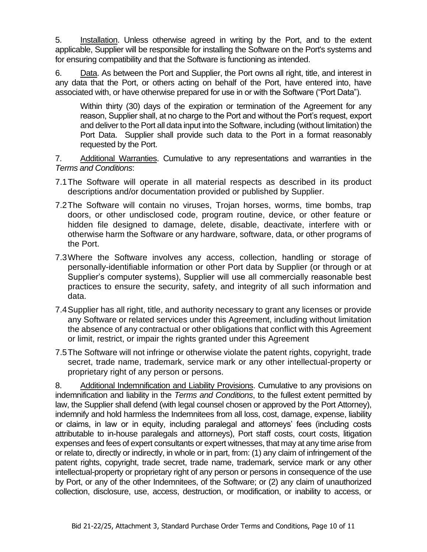5. Installation. Unless otherwise agreed in writing by the Port, and to the extent applicable, Supplier will be responsible for installing the Software on the Port's systems and for ensuring compatibility and that the Software is functioning as intended.

6. Data. As between the Port and Supplier, the Port owns all right, title, and interest in any data that the Port, or others acting on behalf of the Port, have entered into, have associated with, or have otherwise prepared for use in or with the Software ("Port Data").

Within thirty (30) days of the expiration or termination of the Agreement for any reason, Supplier shall, at no charge to the Port and without the Port's request, export and deliver to the Port all data input into the Software, including (without limitation) the Port Data. Supplier shall provide such data to the Port in a format reasonably requested by the Port.

7. Additional Warranties. Cumulative to any representations and warranties in the *Terms and Conditions*:

- 7.1The Software will operate in all material respects as described in its product descriptions and/or documentation provided or published by Supplier.
- 7.2The Software will contain no viruses, Trojan horses, worms, time bombs, trap doors, or other undisclosed code, program routine, device, or other feature or hidden file designed to damage, delete, disable, deactivate, interfere with or otherwise harm the Software or any hardware, software, data, or other programs of the Port.
- 7.3Where the Software involves any access, collection, handling or storage of personally-identifiable information or other Port data by Supplier (or through or at Supplier's computer systems), Supplier will use all commercially reasonable best practices to ensure the security, safety, and integrity of all such information and data.
- 7.4Supplier has all right, title, and authority necessary to grant any licenses or provide any Software or related services under this Agreement, including without limitation the absence of any contractual or other obligations that conflict with this Agreement or limit, restrict, or impair the rights granted under this Agreement
- 7.5The Software will not infringe or otherwise violate the patent rights, copyright, trade secret, trade name, trademark, service mark or any other intellectual-property or proprietary right of any person or persons.

8. Additional Indemnification and Liability Provisions. Cumulative to any provisions on indemnification and liability in the *Terms and Conditions*, to the fullest extent permitted by law, the Supplier shall defend (with legal counsel chosen or approved by the Port Attorney), indemnify and hold harmless the Indemnitees from all loss, cost, damage, expense, liability or claims, in law or in equity, including paralegal and attorneys' fees (including costs attributable to in-house paralegals and attorneys), Port staff costs, court costs, litigation expenses and fees of expert consultants or expert witnesses, that may at any time arise from or relate to, directly or indirectly, in whole or in part, from: (1) any claim of infringement of the patent rights, copyright, trade secret, trade name, trademark, service mark or any other intellectual-property or proprietary right of any person or persons in consequence of the use by Port, or any of the other Indemnitees, of the Software; or (2) any claim of unauthorized collection, disclosure, use, access, destruction, or modification, or inability to access, or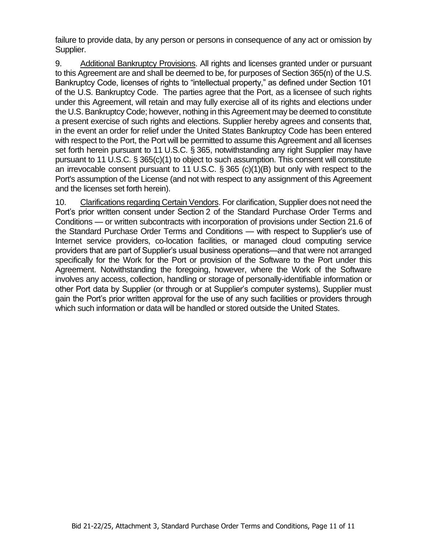failure to provide data, by any person or persons in consequence of any act or omission by Supplier.

9. Additional Bankruptcy Provisions. All rights and licenses granted under or pursuant to this Agreement are and shall be deemed to be, for purposes of Section 365(n) of the U.S. Bankruptcy Code, licenses of rights to "intellectual property," as defined under Section 101 of the U.S. Bankruptcy Code. The parties agree that the Port, as a licensee of such rights under this Agreement, will retain and may fully exercise all of its rights and elections under the U.S. Bankruptcy Code; however, nothing in this Agreement may be deemed to constitute a present exercise of such rights and elections. Supplier hereby agrees and consents that, in the event an order for relief under the United States Bankruptcy Code has been entered with respect to the Port, the Port will be permitted to assume this Agreement and all licenses set forth herein pursuant to 11 U.S.C. § 365, notwithstanding any right Supplier may have pursuant to 11 U.S.C. § 365(c)(1) to object to such assumption. This consent will constitute an irrevocable consent pursuant to 11 U.S.C. § 365 (c)(1)(B) but only with respect to the Port's assumption of the License (and not with respect to any assignment of this Agreement and the licenses set forth herein).

10. Clarifications regarding Certain Vendors. For clarification, Supplier does not need the Port's prior written consent under Section 2 of the Standard Purchase Order Terms and Conditions — or written subcontracts with incorporation of provisions under Section 21.6 of the Standard Purchase Order Terms and Conditions — with respect to Supplier's use of Internet service providers, co-location facilities, or managed cloud computing service providers that are part of Supplier's usual business operations—and that were not arranged specifically for the Work for the Port or provision of the Software to the Port under this Agreement. Notwithstanding the foregoing, however, where the Work of the Software involves any access, collection, handling or storage of personally-identifiable information or other Port data by Supplier (or through or at Supplier's computer systems), Supplier must gain the Port's prior written approval for the use of any such facilities or providers through which such information or data will be handled or stored outside the United States.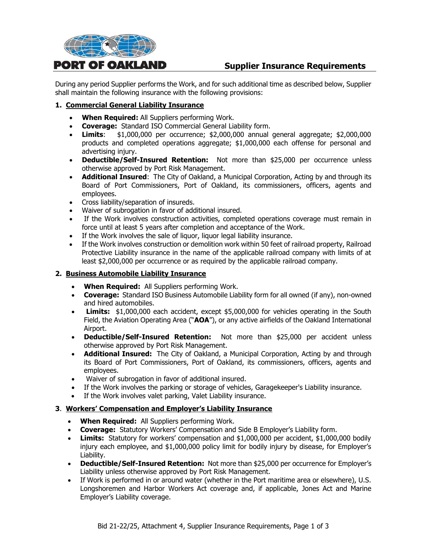

# **Supplier Insurance Requirements**

During any period Supplier performs the Work, and for such additional time as described below, Supplier shall maintain the following insurance with the following provisions:

#### **1. Commercial General Liability Insurance**

- **When Required:** All Suppliers performing Work.
- **Coverage:** Standard ISO Commercial General Liability form.
- **Limits**: \$1,000,000 per occurrence; \$2,000,000 annual general aggregate; \$2,000,000 products and completed operations aggregate; \$1,000,000 each offense for personal and advertising injury.
- **Deductible/Self-Insured Retention:** Not more than \$25,000 per occurrence unless otherwise approved by Port Risk Management.
- **Additional Insured**: The City of Oakland, a Municipal Corporation, Acting by and through its Board of Port Commissioners, Port of Oakland, its commissioners, officers, agents and employees.
- Cross liability/separation of insureds.
- Waiver of subrogation in favor of additional insured.
- If the Work involves construction activities, completed operations coverage must remain in force until at least 5 years after completion and acceptance of the Work.
- If the Work involves the sale of liquor, liquor legal liability insurance.
- If the Work involves construction or demolition work within 50 feet of railroad property, Railroad Protective Liability insurance in the name of the applicable railroad company with limits of at least \$2,000,000 per occurrence or as required by the applicable railroad company.

#### **2. Business Automobile Liability Insurance**

- **When Required:** All Suppliers performing Work.
- **Coverage:** Standard ISO Business Automobile Liability form for all owned (if any), non-owned and hired automobiles.
- **Limits:** \$1,000,000 each accident, except \$5,000,000 for vehicles operating in the South Field, the Aviation Operating Area ("**AOA**"), or any active airfields of the Oakland International Airport.
- **Deductible/Self-Insured Retention:** Not more than \$25,000 per accident unless otherwise approved by Port Risk Management.
- **Additional Insured:** The City of Oakland, a Municipal Corporation, Acting by and through its Board of Port Commissioners, Port of Oakland, its commissioners, officers, agents and employees.
- Waiver of subrogation in favor of additional insured.
- If the Work involves the parking or storage of vehicles, Garagekeeper's Liability insurance.
- If the Work involves valet parking, Valet Liability insurance.

#### **3**. **Workers' Compensation and Employer's Liability Insurance**

- **When Required:** All Suppliers performing Work.
- **Coverage:** Statutory Workers' Compensation and Side B Employer's Liability form.
- **Limits:** Statutory for workers' compensation and \$1,000,000 per accident, \$1,000,000 bodily injury each employee, and \$1,000,000 policy limit for bodily injury by disease, for Employer's Liability.
- **Deductible/Self-Insured Retention:** Not more than \$25,000 per occurrence for Employer's Liability unless otherwise approved by Port Risk Management.
- If Work is performed in or around water (whether in the Port maritime area or elsewhere), U.S. Longshoremen and Harbor Workers Act coverage and, if applicable, Jones Act and Marine Employer's Liability coverage.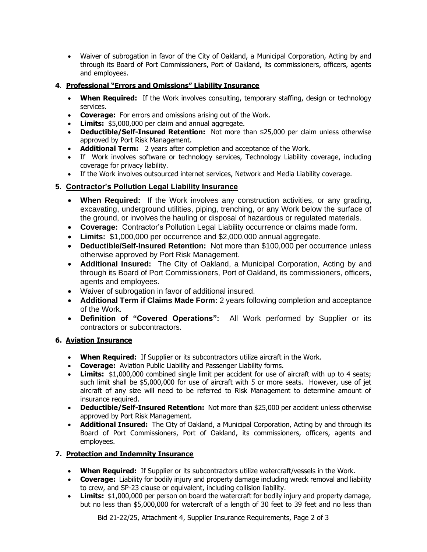• Waiver of subrogation in favor of the City of Oakland, a Municipal Corporation, Acting by and through its Board of Port Commissioners, Port of Oakland, its commissioners, officers, agents and employees.

#### **4**. **Professional "Errors and Omissions" Liability Insurance**

- **When Required:** If the Work involves consulting, temporary staffing, design or technology services.
- **Coverage:** For errors and omissions arising out of the Work.
- **Limits:** \$5,000,000 per claim and annual aggregate.
- **Deductible/Self-Insured Retention:** Not more than \$25,000 per claim unless otherwise approved by Port Risk Management.
- **Additional Term:** 2 years after completion and acceptance of the Work.
- If Work involves software or technology services, Technology Liability coverage, including coverage for privacy liability.
- If the Work involves outsourced internet services, Network and Media Liability coverage.

# **5. Contractor's Pollution Legal Liability Insurance**

- **When Required:** If the Work involves any construction activities, or any grading, excavating, underground utilities, piping, trenching, or any Work below the surface of the ground, or involves the hauling or disposal of hazardous or regulated materials.
- **Coverage:** Contractor's Pollution Legal Liability occurrence or claims made form.
- **Limits:** \$1,000,000 per occurrence and \$2,000,000 annual aggregate.
- **Deductible/Self-Insured Retention:** Not more than \$100,000 per occurrence unless otherwise approved by Port Risk Management.
- **Additional Insured:** The City of Oakland, a Municipal Corporation, Acting by and through its Board of Port Commissioners, Port of Oakland, its commissioners, officers, agents and employees.
- Waiver of subrogation in favor of additional insured.
- **Additional Term if Claims Made Form:** 2 years following completion and acceptance of the Work.
- **Definition of "Covered Operations":** All Work performed by Supplier or its contractors or subcontractors.

#### **6. Aviation Insurance**

- **When Required:** If Supplier or its subcontractors utilize aircraft in the Work.
- **Coverage:** Aviation Public Liability and Passenger Liability forms.
- **Limits:** \$1,000,000 combined single limit per accident for use of aircraft with up to 4 seats: such limit shall be \$5,000,000 for use of aircraft with 5 or more seats. However, use of jet aircraft of any size will need to be referred to Risk Management to determine amount of insurance required.
- **Deductible/Self-Insured Retention:** Not more than \$25,000 per accident unless otherwise approved by Port Risk Management.
- **Additional Insured:** The City of Oakland, a Municipal Corporation, Acting by and through its Board of Port Commissioners, Port of Oakland, its commissioners, officers, agents and employees.

#### **7. Protection and Indemnity Insurance**

- **When Required:** If Supplier or its subcontractors utilize watercraft/vessels in the Work.
- **Coverage:** Liability for bodily injury and property damage including wreck removal and liability to crew, and SP-23 clause or equivalent, including collision liability.
- **Limits:** \$1,000,000 per person on board the watercraft for bodily injury and property damage, but no less than \$5,000,000 for watercraft of a length of 30 feet to 39 feet and no less than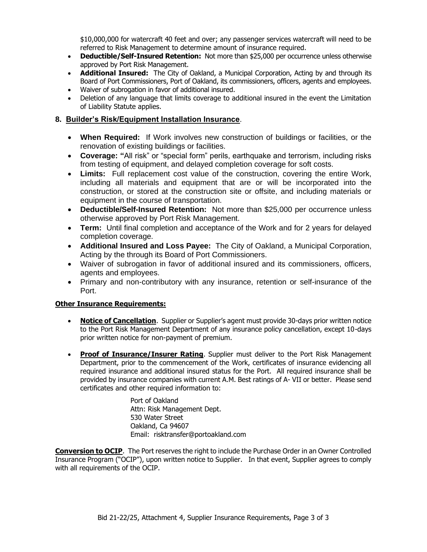\$10,000,000 for watercraft 40 feet and over; any passenger services watercraft will need to be referred to Risk Management to determine amount of insurance required.

- **Deductible/Self-Insured Retention:** Not more than \$25,000 per occurrence unless otherwise approved by Port Risk Management.
- **Additional Insured:** The City of Oakland, a Municipal Corporation, Acting by and through its Board of Port Commissioners, Port of Oakland, its commissioners, officers, agents and employees.
- Waiver of subrogation in favor of additional insured.
- Deletion of any language that limits coverage to additional insured in the event the Limitation of Liability Statute applies.

#### **8. Builder's Risk/Equipment Installation Insurance**.

- **When Required:** If Work involves new construction of buildings or facilities, or the renovation of existing buildings or facilities.
- **Coverage: "**All risk" or "special form" perils, earthquake and terrorism, including risks from testing of equipment, and delayed completion coverage for soft costs.
- **Limits:** Full replacement cost value of the construction, covering the entire Work, including all materials and equipment that are or will be incorporated into the construction, or stored at the construction site or offsite, and including materials or equipment in the course of transportation.
- **Deductible/Self-Insured Retention:** Not more than \$25,000 per occurrence unless otherwise approved by Port Risk Management.
- **Term:** Until final completion and acceptance of the Work and for 2 years for delayed completion coverage.
- **Additional Insured and Loss Payee:** The City of Oakland, a Municipal Corporation, Acting by the through its Board of Port Commissioners.
- Waiver of subrogation in favor of additional insured and its commissioners, officers, agents and employees.
- Primary and non-contributory with any insurance, retention or self-insurance of the Port.

#### **Other Insurance Requirements:**

- **Notice of Cancellation**. Supplier or Supplier's agent must provide 30-days prior written notice to the Port Risk Management Department of any insurance policy cancellation, except 10-days prior written notice for non-payment of premium.
- **Proof of Insurance/Insurer Rating**. Supplier must deliver to the Port Risk Management Department, prior to the commencement of the Work, certificates of insurance evidencing all required insurance and additional insured status for the Port. All required insurance shall be provided by insurance companies with current A.M. Best ratings of A- VII or better. Please send certificates and other required information to:

Port of Oakland Attn: Risk Management Dept. 530 Water Street Oakland, Ca 94607 Email: risktransfer@portoakland.com

**Conversion to OCIP**. The Port reserves the right to include the Purchase Order in an Owner Controlled Insurance Program ("OCIP"), upon written notice to Supplier. In that event, Supplier agrees to comply with all requirements of the OCIP.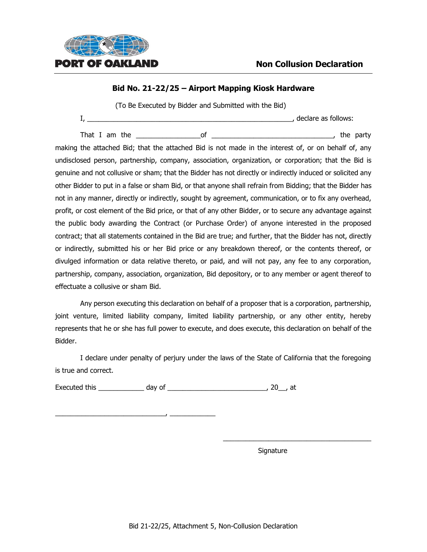

(To Be Executed by Bidder and Submitted with the Bid)

|  | declare as follows: |
|--|---------------------|
|  |                     |

That I am the the set of the set of the set of the party of the party of the party making the attached Bid; that the attached Bid is not made in the interest of, or on behalf of, any undisclosed person, partnership, company, association, organization, or corporation; that the Bid is genuine and not collusive or sham; that the Bidder has not directly or indirectly induced or solicited any other Bidder to put in a false or sham Bid, or that anyone shall refrain from Bidding; that the Bidder has not in any manner, directly or indirectly, sought by agreement, communication, or to fix any overhead, profit, or cost element of the Bid price, or that of any other Bidder, or to secure any advantage against the public body awarding the Contract (or Purchase Order) of anyone interested in the proposed contract; that all statements contained in the Bid are true; and further, that the Bidder has not, directly or indirectly, submitted his or her Bid price or any breakdown thereof, or the contents thereof, or divulged information or data relative thereto, or paid, and will not pay, any fee to any corporation, partnership, company, association, organization, Bid depository, or to any member or agent thereof to effectuate a collusive or sham Bid.

Any person executing this declaration on behalf of a proposer that is a corporation, partnership, joint venture, limited liability company, limited liability partnership, or any other entity, hereby represents that he or she has full power to execute, and does execute, this declaration on behalf of the Bidder.

I declare under penalty of perjury under the laws of the State of California that the foregoing is true and correct.

Executed this \_\_\_\_\_\_\_\_\_\_\_\_ day of \_\_\_\_\_\_\_\_\_\_\_\_\_\_\_\_\_\_\_\_\_\_\_\_\_\_, 20\_\_, at

\_\_\_\_\_\_\_\_\_\_\_\_\_\_\_\_\_\_\_\_\_\_\_\_\_\_\_\_\_, \_\_\_\_\_\_\_\_\_\_\_\_

Signature

\_\_\_\_\_\_\_\_\_\_\_\_\_\_\_\_\_\_\_\_\_\_\_\_\_\_\_\_\_\_\_\_\_\_\_\_\_\_\_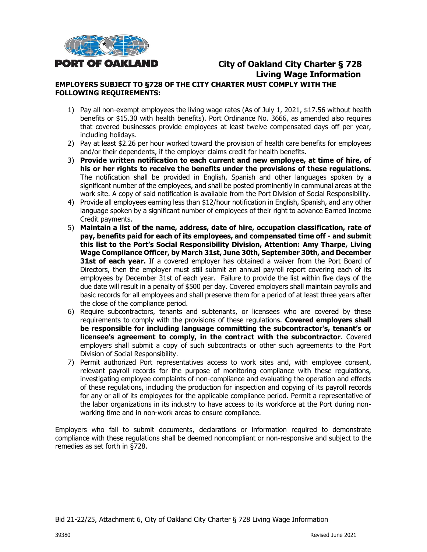

# **City of Oakland City Charter § 728 Living Wage Information**

#### **EMPLOYERS SUBJECT TO §728 OF THE CITY CHARTER MUST COMPLY WITH THE FOLLOWING REQUIREMENTS:**

- 1) Pay all non-exempt employees the living wage rates (As of July 1, 2021, \$17.56 without health benefits or \$15.30 with health benefits). Port Ordinance No. 3666, as amended also requires that covered businesses provide employees at least twelve compensated days off per year, including holidays.
- 2) Pay at least \$2.26 per hour worked toward the provision of health care benefits for employees and/or their dependents, if the employer claims credit for health benefits.
- 3) **Provide written notification to each current and new employee, at time of hire, of his or her rights to receive the benefits under the provisions of these regulations.** The notification shall be provided in English, Spanish and other languages spoken by a significant number of the employees, and shall be posted prominently in communal areas at the work site. A copy of said notification is available from the Port Division of Social Responsibility.
- 4) Provide all employees earning less than \$12/hour notification in English, Spanish, and any other language spoken by a significant number of employees of their right to advance Earned Income Credit payments.
- 5) **Maintain a list of the name, address, date of hire, occupation classification, rate of pay, benefits paid for each of its employees, and compensated time off - and submit this list to the Port's Social Responsibility Division, Attention: Amy Tharpe, Living Wage Compliance Officer, by March 31st, June 30th, September 30th, and December 31st of each year.** If a covered employer has obtained a waiver from the Port Board of Directors, then the employer must still submit an annual payroll report covering each of its employees by December 31st of each year. Failure to provide the list within five days of the due date will result in a penalty of \$500 per day. Covered employers shall maintain payrolls and basic records for all employees and shall preserve them for a period of at least three years after the close of the compliance period.
- 6) Require subcontractors, tenants and subtenants, or licensees who are covered by these requirements to comply with the provisions of these regulations. **Covered employers shall be responsible for including language committing the subcontractor's, tenant's or licensee's agreement to comply, in the contract with the subcontractor**. Covered employers shall submit a copy of such subcontracts or other such agreements to the Port Division of Social Responsibility.
- 7) Permit authorized Port representatives access to work sites and, with employee consent, relevant payroll records for the purpose of monitoring compliance with these regulations, investigating employee complaints of non-compliance and evaluating the operation and effects of these regulations, including the production for inspection and copying of its payroll records for any or all of its employees for the applicable compliance period. Permit a representative of the labor organizations in its industry to have access to its workforce at the Port during nonworking time and in non-work areas to ensure compliance.

Employers who fail to submit documents, declarations or information required to demonstrate compliance with these regulations shall be deemed noncompliant or non-responsive and subject to the remedies as set forth in §728.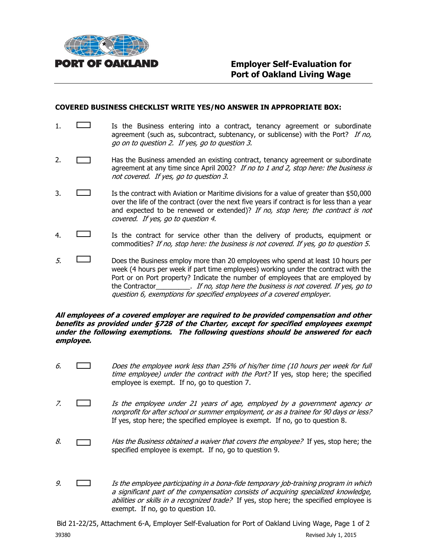

#### **COVERED BUSINESS CHECKLIST WRITE YES/NO ANSWER IN APPROPRIATE BOX:**

- 1.  $\Box$  Is the Business entering into a contract, tenancy agreement or subordinate agreement (such as, subcontract, subtenancy, or sublicense) with the Port? If no, go on to question 2. If yes, go to question 3.
- 2. **Has the Business amended an existing contract, tenancy agreement or subordinate** agreement at any time since April 2002? If no to 1 and 2, stop here: the business is not covered. If yes, go to question 3.
- 3. Is the contract with Aviation or Maritime divisions for a value of greater than \$50,000 over the life of the contract (over the next five years if contract is for less than a year and expected to be renewed or extended)? If no, stop here; the contract is not covered. If yes, go to question 4.
- 4. Is the contract for service other than the delivery of products, equipment or commodities? If no, stop here: the business is not covered. If yes, go to question 5.
- $5.$  Does the Business employ more than 20 employees who spend at least 10 hours per week (4 hours per week if part time employees) working under the contract with the Port or on Port property? Indicate the number of employees that are employed by the Contractor\_\_\_\_\_\_\_\_\_\_. If no, stop here the business is not covered. If yes, go to question 6, exemptions for specified employees of a covered employer.

#### **All employees of a covered employer are required to be provided compensation and other benefits as provided under §728 of the Charter, except for specified employees exempt under the following exemptions. The following questions should be answered for each employee.**

- 6. Does the employee work less than 25% of his/her time (10 hours per week for full time employee) under the contract with the Port? If yes, stop here; the specified employee is exempt. If no, go to question 7.
- 7. Is the employee under 21 years of age, employed by a government agency or nonprofit for after school or summer employment, or as a trainee for 90 days or less? If yes, stop here; the specified employee is exempt. If no, go to question 8.
- 8.  $\Box$  Has the Business obtained a waiver that covers the employee? If yes, stop here; the specified employee is exempt. If no, go to question 9.
- 9.  $\Box$  Is the employee participating in a bona-fide temporary job-training program in which a significant part of the compensation consists of acquiring specialized knowledge, abilities or skills in a recognized trade? If yes, stop here; the specified employee is exempt. If no, go to question 10.

Bid 21-22/25, Attachment 6-A, Employer Self-Evaluation for Port of Oakland Living Wage, Page 1 of 2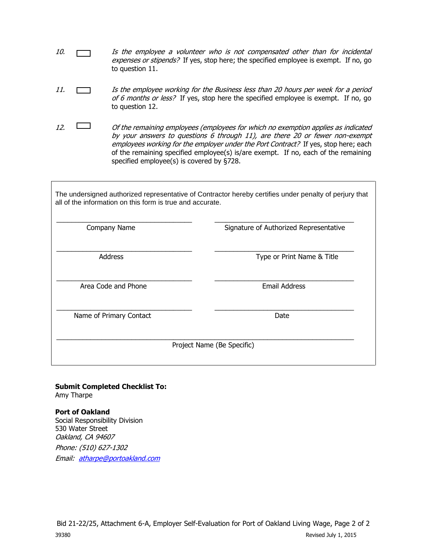- 10.  $\Box$  Is the employee a volunteer who is not compensated other than for incidental expenses or stipends? If yes, stop here; the specified employee is exempt. If no, go to question 11.
- 11. Is the employee working for the Business less than 20 hours per week for a period of 6 months or less? If yes, stop here the specified employee is exempt. If no, go to question 12.
- 12.  $\Box$  Of the remaining employees (employees for which no exemption applies as indicated by your answers to questions 6 through 11), are there 20 or fewer non-exempt employees working for the employer under the Port Contract? If yes, stop here; each of the remaining specified employee(s) is/are exempt. If no, each of the remaining specified employee(s) is covered by §728.

The undersigned authorized representative of Contractor hereby certifies under penalty of perjury that all of the information on this form is true and accurate.

| Company Name            | Signature of Authorized Representative |
|-------------------------|----------------------------------------|
| Address                 | Type or Print Name & Title             |
| Area Code and Phone     | <b>Email Address</b>                   |
| Name of Primary Contact | Date                                   |
|                         | Project Name (Be Specific)             |

#### **Submit Completed Checklist To:** Amy Tharpe

**Port of Oakland**  Social Responsibility Division 530 Water Street Oakland, CA 94607 Phone: (510) 627-1302 Email: [atharpe@portoakland.com](mailto:atharpe@portoakland.com)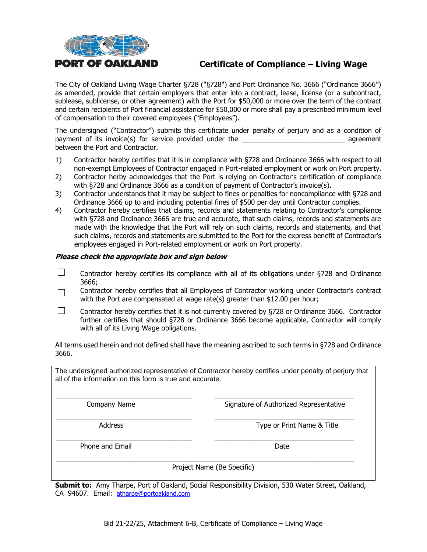

# **Certificate of Compliance – Living Wage**

The City of Oakland Living Wage Charter §728 ("§728") and Port Ordinance No. 3666 ("Ordinance 3666") as amended, provide that certain employers that enter into a contract, lease, license (or a subcontract, sublease, sublicense, or other agreement) with the Port for \$50,000 or more over the term of the contract and certain recipients of Port financial assistance for \$50,000 or more shall pay a prescribed minimum level of compensation to their covered employees ("Employees").

The undersigned ("Contractor") submits this certificate under penalty of perjury and as a condition of payment of its invoice(s) for service provided under the **Example 2** agreement between the Port and Contractor.

- 1) Contractor hereby certifies that it is in compliance with §728 and Ordinance 3666 with respect to all non-exempt Employees of Contractor engaged in Port-related employment or work on Port property.
- 2) Contractor herby acknowledges that the Port is relying on Contractor's certification of compliance with §728 and Ordinance 3666 as a condition of payment of Contractor's invoice(s).
- 3) Contractor understands that it may be subject to fines or penalties for noncompliance with §728 and Ordinance 3666 up to and including potential fines of \$500 per day until Contractor complies.
- 4) Contractor hereby certifies that claims, records and statements relating to Contractor's compliance with §728 and Ordinance 3666 are true and accurate, that such claims, records and statements are made with the knowledge that the Port will rely on such claims, records and statements, and that such claims, records and statements are submitted to the Port for the express benefit of Contractor's employees engaged in Port-related employment or work on Port property.

#### **Please check the appropriate box and sign below**

- П Contractor hereby certifies its compliance with all of its obligations under §728 and Ordinance 3666;
- Contractor hereby certifies that all Employees of Contractor working under Contractor's contract  $\Box$ with the Port are compensated at wage rate(s) greater than \$12.00 per hour;
- П Contractor hereby certifies that it is not currently covered by §728 or Ordinance 3666. Contractor further certifies that should §728 or Ordinance 3666 become applicable, Contractor will comply with all of its Living Wage obligations.

All terms used herein and not defined shall have the meaning ascribed to such terms in §728 and Ordinance 3666.

The undersigned authorized representative of Contractor hereby certifies under penalty of perjury that all of the information on this form is true and accurate.

\_\_\_\_\_\_\_\_\_\_\_\_\_\_\_\_\_\_\_\_\_\_\_\_\_\_\_\_\_\_\_\_\_\_\_\_ \_\_\_\_\_\_\_\_\_\_\_\_\_\_\_\_\_\_\_\_\_\_\_\_\_\_\_\_\_\_\_\_\_\_\_\_\_ Company Name **Signature of Authorized Representative** 

\_\_\_\_\_\_\_\_\_\_\_\_\_\_\_\_\_\_\_\_\_\_\_\_\_\_\_\_\_\_\_\_\_\_\_\_ \_\_\_\_\_\_\_\_\_\_\_\_\_\_\_\_\_\_\_\_\_\_\_\_\_\_\_\_\_\_\_\_\_\_\_\_\_ Address **Address** Type or Print Name & Title

Phone and Email Date and Email Date Date and Email Date Date Date Date Date

Project Name (Be Specific)

\_\_\_\_\_\_\_\_\_\_\_\_\_\_\_\_\_\_\_\_\_\_\_\_\_\_\_\_\_\_\_\_\_\_\_\_ \_\_\_\_\_\_\_\_\_\_\_\_\_\_\_\_\_\_\_\_\_\_\_\_\_\_\_\_\_\_\_\_\_\_\_\_\_

\_\_\_\_\_\_\_\_\_\_\_\_\_\_\_\_\_\_\_\_\_\_\_\_\_\_\_\_\_\_\_\_\_\_\_\_\_\_\_\_\_\_\_\_\_\_\_\_\_\_\_\_\_\_\_\_\_\_\_\_\_\_\_\_\_\_\_\_\_\_\_\_\_\_\_\_\_\_\_

**Submit to:** Amy Tharpe, Port of Oakland, Social Responsibility Division, 530 Water Street, Oakland, CA 94607. Email: [atharpe@portoakland.com](mailto:atharpe@portoakland.com)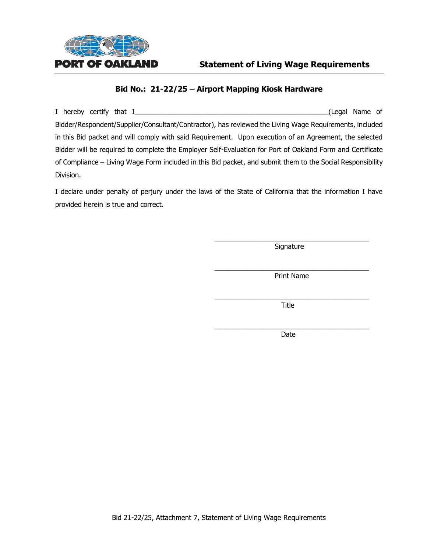

I hereby certify that I\_\_\_\_\_\_\_\_\_\_\_\_\_\_\_\_\_\_\_\_\_\_\_\_\_\_\_\_\_\_\_\_\_\_\_\_\_\_\_\_\_\_\_\_\_\_\_\_\_\_\_(Legal Name of Bidder/Respondent/Supplier/Consultant/Contractor), has reviewed the Living Wage Requirements, included in this Bid packet and will comply with said Requirement. Upon execution of an Agreement, the selected Bidder will be required to complete the Employer Self-Evaluation for Port of Oakland Form and Certificate of Compliance – Living Wage Form included in this Bid packet, and submit them to the Social Responsibility Division.

I declare under penalty of perjury under the laws of the State of California that the information I have provided herein is true and correct.

> \_\_\_\_\_\_\_\_\_\_\_\_\_\_\_\_\_\_\_\_\_\_\_\_\_\_\_\_\_\_\_\_\_\_\_\_\_\_\_\_\_ **Signature**

> \_\_\_\_\_\_\_\_\_\_\_\_\_\_\_\_\_\_\_\_\_\_\_\_\_\_\_\_\_\_\_\_\_\_\_\_\_\_\_\_\_ Print Name

> \_\_\_\_\_\_\_\_\_\_\_\_\_\_\_\_\_\_\_\_\_\_\_\_\_\_\_\_\_\_\_\_\_\_\_\_\_\_\_\_\_ Title

> \_\_\_\_\_\_\_\_\_\_\_\_\_\_\_\_\_\_\_\_\_\_\_\_\_\_\_\_\_\_\_\_\_\_\_\_\_\_\_\_\_ Date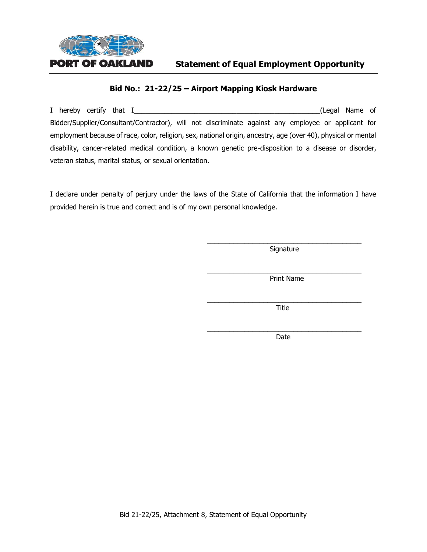

I hereby certify that I\_\_\_\_\_\_\_\_\_\_\_\_\_\_\_\_\_\_\_\_\_\_\_\_\_\_\_\_\_\_\_\_\_\_\_\_\_\_\_\_\_\_\_\_\_\_\_\_\_(Legal Name of Bidder/Supplier/Consultant/Contractor), will not discriminate against any employee or applicant for employment because of race, color, religion, sex, national origin, ancestry, age (over 40), physical or mental disability, cancer-related medical condition, a known genetic pre-disposition to a disease or disorder, veteran status, marital status, or sexual orientation.

I declare under penalty of perjury under the laws of the State of California that the information I have provided herein is true and correct and is of my own personal knowledge.

> \_\_\_\_\_\_\_\_\_\_\_\_\_\_\_\_\_\_\_\_\_\_\_\_\_\_\_\_\_\_\_\_\_\_\_\_\_\_\_\_\_ Signature

> \_\_\_\_\_\_\_\_\_\_\_\_\_\_\_\_\_\_\_\_\_\_\_\_\_\_\_\_\_\_\_\_\_\_\_\_\_\_\_\_\_ Print Name

> \_\_\_\_\_\_\_\_\_\_\_\_\_\_\_\_\_\_\_\_\_\_\_\_\_\_\_\_\_\_\_\_\_\_\_\_\_\_\_\_\_ Title

> \_\_\_\_\_\_\_\_\_\_\_\_\_\_\_\_\_\_\_\_\_\_\_\_\_\_\_\_\_\_\_\_\_\_\_\_\_\_\_\_\_ Date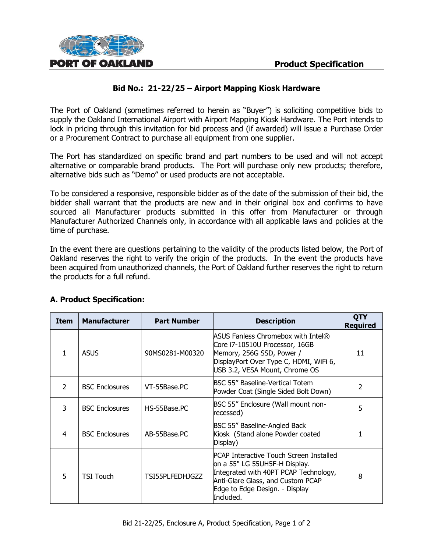

The Port of Oakland (sometimes referred to herein as "Buyer") is soliciting competitive bids to supply the Oakland International Airport with Airport Mapping Kiosk Hardware. The Port intends to lock in pricing through this invitation for bid process and (if awarded) will issue a Purchase Order or a Procurement Contract to purchase all equipment from one supplier.

The Port has standardized on specific brand and part numbers to be used and will not accept alternative or comparable brand products. The Port will purchase only new products; therefore, alternative bids such as "Demo" or used products are not acceptable.

To be considered a responsive, responsible bidder as of the date of the submission of their bid, the bidder shall warrant that the products are new and in their original box and confirms to have sourced all Manufacturer products submitted in this offer from Manufacturer or through Manufacturer Authorized Channels only, in accordance with all applicable laws and policies at the time of purchase.

In the event there are questions pertaining to the validity of the products listed below, the Port of Oakland reserves the right to verify the origin of the products. In the event the products have been acquired from unauthorized channels, the Port of Oakland further reserves the right to return the products for a full refund.

| <b>Item</b>   | <b>Manufacturer</b>   | <b>Part Number</b> | <b>Description</b>                                                                                                                                                                                    | <b>QTY</b><br><b>Required</b> |
|---------------|-----------------------|--------------------|-------------------------------------------------------------------------------------------------------------------------------------------------------------------------------------------------------|-------------------------------|
| 1             | <b>ASUS</b>           | 90MS0281-M00320    | ASUS Fanless Chromebox with Intel®<br>Core i7-10510U Processor, 16GB<br>Memory, 256G SSD, Power /<br>DisplayPort Over Type C, HDMI, WiFi 6,<br>USB 3.2, VESA Mount, Chrome OS                         | 11                            |
| $\mathcal{P}$ | <b>BSC Enclosures</b> | VT-55Base.PC       | BSC 55" Baseline-Vertical Totem<br>Powder Coat (Single Sided Bolt Down)                                                                                                                               | $\mathcal{P}$                 |
| 3             | <b>BSC Enclosures</b> | HS-55Base.PC       | BSC 55" Enclosure (Wall mount non-<br>recessed)                                                                                                                                                       | 5                             |
| 4             | <b>BSC Enclosures</b> | AB-55Base.PC       | BSC 55" Baseline-Angled Back<br>Kiosk (Stand alone Powder coated<br>Display)                                                                                                                          |                               |
| 5             | <b>TSI Touch</b>      | TSI55PLFEDHJGZZ    | PCAP Interactive Touch Screen Installed<br>on a 55" LG 55UH5F-H Display.<br>Integrated with 40PT PCAP Technology,<br>Anti-Glare Glass, and Custom PCAP<br>Edge to Edge Design. - Display<br>Included. | 8                             |

# **A. Product Specification:**